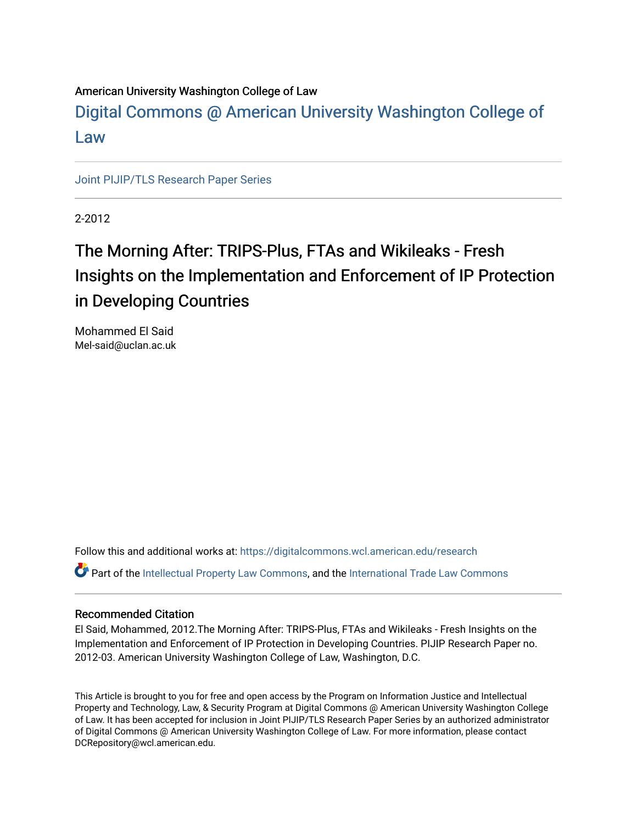### American University Washington College of Law

[Digital Commons @ American University Washington College of](https://digitalcommons.wcl.american.edu/)  [Law](https://digitalcommons.wcl.american.edu/)

[Joint PIJIP/TLS Research Paper Series](https://digitalcommons.wcl.american.edu/research)

2-2012

## The Morning After: TRIPS-Plus, FTAs and Wikileaks - Fresh Insights on the Implementation and Enforcement of IP Protection in Developing Countries

Mohammed El Said Mel-said@uclan.ac.uk

Follow this and additional works at: [https://digitalcommons.wcl.american.edu/research](https://digitalcommons.wcl.american.edu/research?utm_source=digitalcommons.wcl.american.edu%2Fresearch%2F25&utm_medium=PDF&utm_campaign=PDFCoverPages) 

Part of the [Intellectual Property Law Commons,](http://network.bepress.com/hgg/discipline/896?utm_source=digitalcommons.wcl.american.edu%2Fresearch%2F25&utm_medium=PDF&utm_campaign=PDFCoverPages) and the [International Trade Law Commons](http://network.bepress.com/hgg/discipline/848?utm_source=digitalcommons.wcl.american.edu%2Fresearch%2F25&utm_medium=PDF&utm_campaign=PDFCoverPages) 

#### Recommended Citation

El Said, Mohammed, 2012.The Morning After: TRIPS-Plus, FTAs and Wikileaks - Fresh Insights on the Implementation and Enforcement of IP Protection in Developing Countries. PIJIP Research Paper no. 2012-03. American University Washington College of Law, Washington, D.C.

This Article is brought to you for free and open access by the Program on Information Justice and Intellectual Property and Technology, Law, & Security Program at Digital Commons @ American University Washington College of Law. It has been accepted for inclusion in Joint PIJIP/TLS Research Paper Series by an authorized administrator of Digital Commons @ American University Washington College of Law. For more information, please contact DCRepository@wcl.american.edu.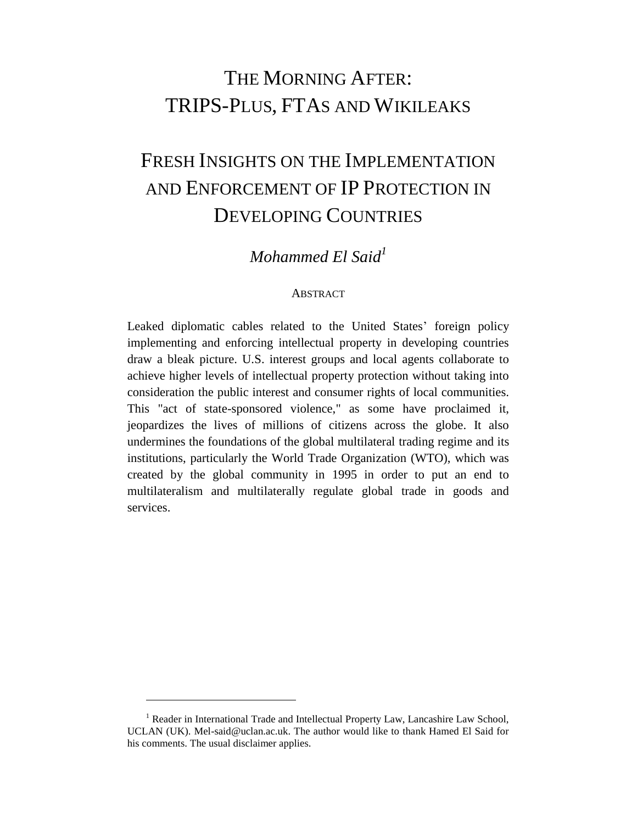## THE MORNING AFTER: TRIPS-PLUS, FTAS AND WIKILEAKS

# FRESH INSIGHTS ON THE IMPLEMENTATION AND ENFORCEMENT OF IP PROTECTION IN DEVELOPING COUNTRIES

### *Mohammed El Said<sup>1</sup>*

#### ABSTRACT

<span id="page-1-0"></span>Leaked diplomatic cables related to the United States' foreign policy implementing and enforcing intellectual property in developing countries draw a bleak picture. U.S. interest groups and local agents collaborate to achieve higher levels of intellectual property protection without taking into consideration the public interest and consumer rights of local communities. This "act of state-sponsored violence," as some have proclaimed it, jeopardizes the lives of millions of citizens across the globe. It also undermines the foundations of the global multilateral trading regime and its institutions, particularly the World Trade Organization (WTO), which was created by the global community in 1995 in order to put an end to multilateralism and multilaterally regulate global trade in goods and services.

 $<sup>1</sup>$  Reader in International Trade and Intellectual Property Law, Lancashire Law School,</sup> UCLAN (UK). Mel-said@uclan.ac.uk. The author would like to thank Hamed El Said for his comments. The usual disclaimer applies.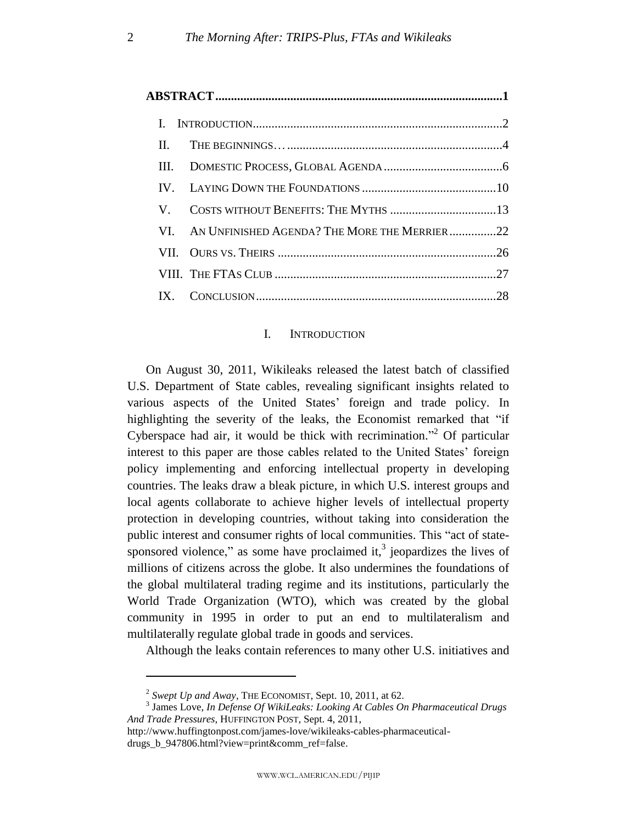| П.   |                                                  |  |
|------|--------------------------------------------------|--|
| HL – |                                                  |  |
|      |                                                  |  |
| V.   |                                                  |  |
|      | VI. AN UNFINISHED AGENDA? THE MORE THE MERRIER22 |  |
|      |                                                  |  |
|      |                                                  |  |
|      |                                                  |  |

#### I. INTRODUCTION

<span id="page-2-0"></span>On August 30, 2011, Wikileaks released the latest batch of classified U.S. Department of State cables, revealing significant insights related to various aspects of the United States' foreign and trade policy. In highlighting the severity of the leaks, the Economist remarked that "if Cyberspace had air, it would be thick with recrimination.<sup>32</sup> Of particular interest to this paper are those cables related to the United States' foreign policy implementing and enforcing intellectual property in developing countries. The leaks draw a bleak picture, in which U.S. interest groups and local agents collaborate to achieve higher levels of intellectual property protection in developing countries, without taking into consideration the public interest and consumer rights of local communities. This "act of statesponsored violence," as some have proclaimed it, $3$  jeopardizes the lives of millions of citizens across the globe. It also undermines the foundations of the global multilateral trading regime and its institutions, particularly the World Trade Organization (WTO), which was created by the global community in 1995 in order to put an end to multilateralism and multilaterally regulate global trade in goods and services.

Although the leaks contain references to many other U.S. initiatives and

<sup>2</sup> *Swept Up and Away*, THE ECONOMIST, Sept. 10, 2011, at 62.

<sup>3</sup> James Love, *In Defense Of WikiLeaks: Looking At Cables On Pharmaceutical Drugs And Trade Pressures*, HUFFINGTON POST, Sept. 4, 2011,

http://www.huffingtonpost.com/james-love/wikileaks-cables-pharmaceuticaldrugs b 947806.html?view=print&comm\_ref=false.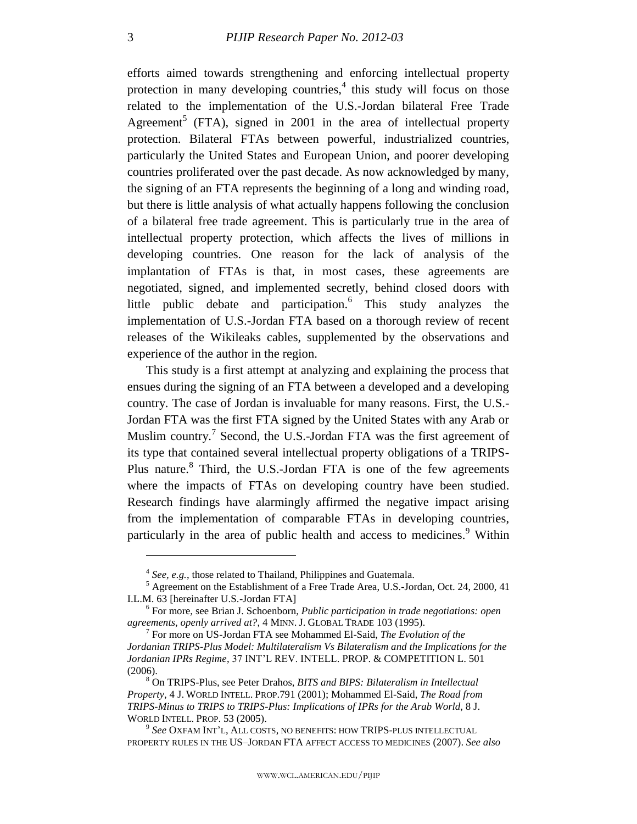efforts aimed towards strengthening and enforcing intellectual property protection in many developing countries,<sup>4</sup> this study will focus on those related to the implementation of the U.S.-Jordan bilateral Free Trade Agreement<sup>5</sup> (FTA), signed in 2001 in the area of intellectual property protection. Bilateral FTAs between powerful, industrialized countries, particularly the United States and European Union, and poorer developing countries proliferated over the past decade. As now acknowledged by many, the signing of an FTA represents the beginning of a long and winding road, but there is little analysis of what actually happens following the conclusion of a bilateral free trade agreement. This is particularly true in the area of intellectual property protection, which affects the lives of millions in developing countries. One reason for the lack of analysis of the implantation of FTAs is that, in most cases, these agreements are negotiated, signed, and implemented secretly, behind closed doors with little public debate and participation.<sup>6</sup> This study analyzes the implementation of U.S.-Jordan FTA based on a thorough review of recent releases of the Wikileaks cables, supplemented by the observations and experience of the author in the region.

This study is a first attempt at analyzing and explaining the process that ensues during the signing of an FTA between a developed and a developing country. The case of Jordan is invaluable for many reasons. First, the U.S.- Jordan FTA was the first FTA signed by the United States with any Arab or Muslim country.<sup>7</sup> Second, the U.S.-Jordan FTA was the first agreement of its type that contained several intellectual property obligations of a TRIPS-Plus nature.<sup>8</sup> Third, the U.S.-Jordan FTA is one of the few agreements where the impacts of FTAs on developing country have been studied. Research findings have alarmingly affirmed the negative impact arising from the implementation of comparable FTAs in developing countries, particularly in the area of public health and access to medicines.<sup>9</sup> Within

<sup>&</sup>lt;sup>4</sup> See, e.g., those related to Thailand, Philippines and Guatemala.

<sup>&</sup>lt;sup>5</sup> Agreement on the Establishment of a Free Trade Area, U.S.-Jordan, Oct. 24, 2000, 41 I.L.M. 63 [hereinafter U.S.-Jordan FTA]

<sup>6</sup> For more, see Brian J. Schoenborn, *Public participation in trade negotiations: open agreements, openly arrived at?*, 4 MINN. J. GLOBAL TRADE 103 (1995).

<sup>7</sup> For more on US-Jordan FTA see Mohammed El-Said, *The Evolution of the Jordanian TRIPS-Plus Model: Multilateralism Vs Bilateralism and the Implications for the Jordanian IPRs Regime*, 37 INT'L REV. INTELL. PROP. & COMPETITION L. 501 (2006).

<sup>8</sup> On TRIPS-Plus, see Peter Drahos, *BITS and BIPS: Bilateralism in Intellectual Property*, 4 J. WORLD INTELL. PROP.791 (2001); Mohammed El-Said, *The Road from TRIPS-Minus to TRIPS to TRIPS-Plus: Implications of IPRs for the Arab World*, 8 J. WORLD INTELL. PROP. 53 (2005).

<sup>9</sup> *See* OXFAM INT'L, ALL COSTS, NO BENEFITS: HOW TRIPS-PLUS INTELLECTUAL PROPERTY RULES IN THE US–JORDAN FTA AFFECT ACCESS TO MEDICINES (2007). *See also*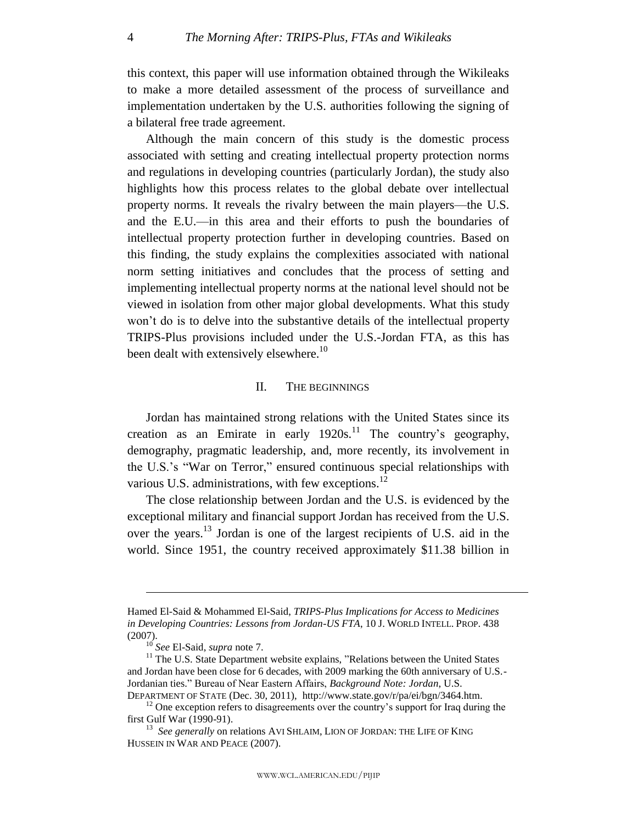this context, this paper will use information obtained through the Wikileaks to make a more detailed assessment of the process of surveillance and implementation undertaken by the U.S. authorities following the signing of a bilateral free trade agreement.

Although the main concern of this study is the domestic process associated with setting and creating intellectual property protection norms and regulations in developing countries (particularly Jordan), the study also highlights how this process relates to the global debate over intellectual property norms. It reveals the rivalry between the main players—the U.S. and the E.U.—in this area and their efforts to push the boundaries of intellectual property protection further in developing countries. Based on this finding, the study explains the complexities associated with national norm setting initiatives and concludes that the process of setting and implementing intellectual property norms at the national level should not be viewed in isolation from other major global developments. What this study won't do is to delve into the substantive details of the intellectual property TRIPS-Plus provisions included under the U.S.-Jordan FTA, as this has been dealt with extensively elsewhere.<sup>10</sup>

#### II. THE BEGINNINGS

<span id="page-4-0"></span>Jordan has maintained strong relations with the United States since its creation as an Emirate in early  $1920s$ .<sup>11</sup> The country's geography, demography, pragmatic leadership, and, more recently, its involvement in the U.S.'s "War on Terror," ensured continuous special relationships with various U.S. administrations, with few exceptions. $^{12}$ 

The close relationship between Jordan and the U.S. is evidenced by the exceptional military and financial support Jordan has received from the U.S. over the years.<sup>13</sup> Jordan is one of the largest recipients of U.S. aid in the world. Since 1951, the country received approximately \$11.38 billion in

Hamed El-Said & Mohammed El-Said, *TRIPS-Plus Implications for Access to Medicines in Developing Countries: Lessons from Jordan-US FTA*, 10 J. WORLD INTELL. PROP. 438 (2007).

<sup>10</sup> *See* El-Said, *supra* note 7.

 $11$ <sup>11</sup> The U.S. State Department website explains, "Relations between the United States and Jordan have been close for 6 decades, with 2009 marking the 60th anniversary of U.S.- Jordanian ties.‖ Bureau of Near Eastern Affairs, *Background Note: Jordan*, U.S. DEPARTMENT OF STATE (Dec. 30, 2011), http://www.state.gov/r/pa/ei/bgn/3464.htm.

 $12$  One exception refers to disagreements over the country's support for Iraq during the first Gulf War (1990-91).

<sup>&</sup>lt;sup>13</sup> See generally on relations AVI SHLAIM, LION OF JORDAN: THE LIFE OF KING HUSSEIN IN WAR AND PEACE (2007).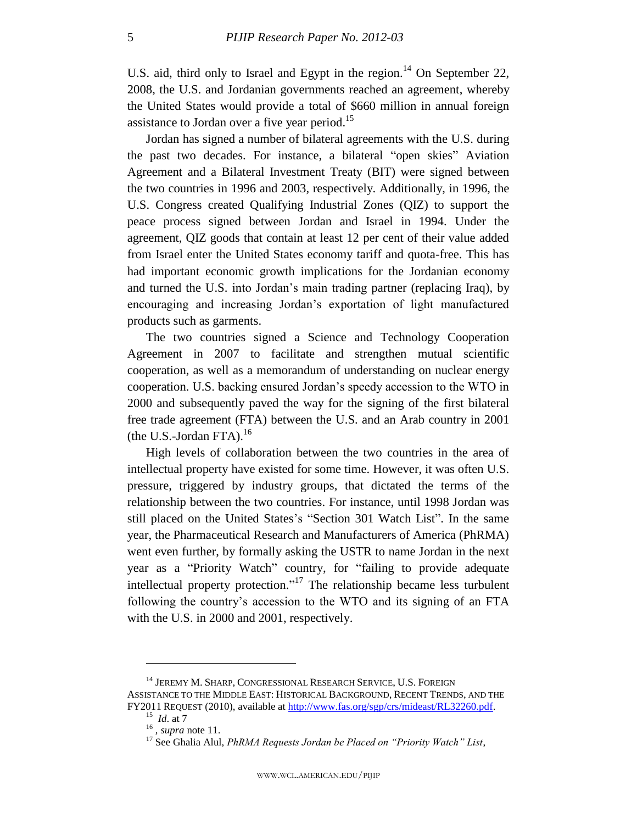U.S. aid, third only to Israel and Egypt in the region.<sup>14</sup> On September 22, 2008, the U.S. and Jordanian governments reached an agreement, whereby the United States would provide a total of \$660 million in annual foreign assistance to Jordan over a five year period.<sup>15</sup>

Jordan has signed a number of bilateral agreements with the U.S. during the past two decades. For instance, a bilateral "open skies" Aviation Agreement and a Bilateral Investment Treaty (BIT) were signed between the two countries in 1996 and 2003, respectively. Additionally, in 1996, the U.S. Congress created Qualifying Industrial Zones (QIZ) to support the peace process signed between Jordan and Israel in 1994. Under the agreement, QIZ goods that contain at least 12 per cent of their value added from Israel enter the United States economy tariff and quota-free. This has had important economic growth implications for the Jordanian economy and turned the U.S. into Jordan's main trading partner (replacing Iraq), by encouraging and increasing Jordan's exportation of light manufactured products such as garments.

The two countries signed a Science and Technology Cooperation Agreement in 2007 to facilitate and strengthen mutual scientific cooperation, as well as a memorandum of understanding on nuclear energy cooperation. U.S. backing ensured Jordan's speedy accession to the WTO in 2000 and subsequently paved the way for the signing of the first bilateral free trade agreement (FTA) between the U.S. and an Arab country in 2001 (the U.S.-Jordan FTA). 16

High levels of collaboration between the two countries in the area of intellectual property have existed for some time. However, it was often U.S. pressure, triggered by industry groups, that dictated the terms of the relationship between the two countries. For instance, until 1998 Jordan was still placed on the United States's "Section 301 Watch List". In the same year, the Pharmaceutical Research and Manufacturers of America (PhRMA) went even further, by formally asking the USTR to name Jordan in the next year as a "Priority Watch" country, for "failing to provide adequate intellectual property protection."<sup>17</sup> The relationship became less turbulent following the country's accession to the WTO and its signing of an FTA with the U.S. in 2000 and 2001, respectively.

<sup>&</sup>lt;sup>14</sup> JEREMY M. SHARP, CONGRESSIONAL RESEARCH SERVICE, U.S. FOREIGN ASSISTANCE TO THE MIDDLE EAST: HISTORICAL BACKGROUND, RECENT TRENDS, AND THE FY2011 REQUEST (2010), available at [http://www.fas.org/sgp/crs/mideast/RL32260.pdf.](http://www.fas.org/sgp/crs/mideast/RL32260.pdf) <sup>15</sup> *Id*. at 7

<sup>16</sup> , *supra* note 11.

<sup>&</sup>lt;sup>17</sup> See Ghalia Alul, *PhRMA Requests Jordan be Placed on "Priority Watch" List*,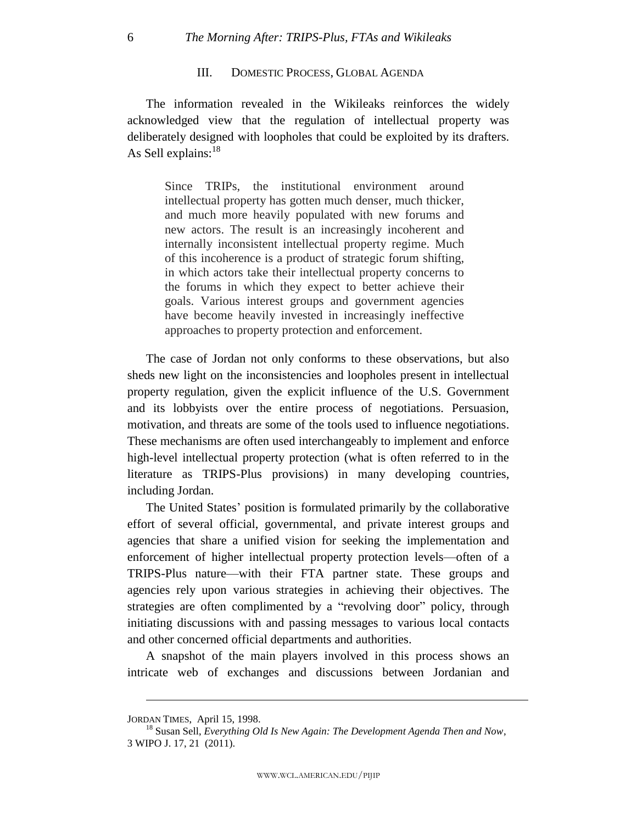#### III. DOMESTIC PROCESS, GLOBAL AGENDA

The information revealed in the Wikileaks reinforces the widely acknowledged view that the regulation of intellectual property was deliberately designed with loopholes that could be exploited by its drafters. As Sell explains: $^{18}$ 

Since TRIPs, the institutional environment around intellectual property has gotten much denser, much thicker, and much more heavily populated with new forums and new actors. The result is an increasingly incoherent and internally inconsistent intellectual property regime. Much of this incoherence is a product of strategic forum shifting, in which actors take their intellectual property concerns to the forums in which they expect to better achieve their goals. Various interest groups and government agencies have become heavily invested in increasingly ineffective approaches to property protection and enforcement.

The case of Jordan not only conforms to these observations, but also sheds new light on the inconsistencies and loopholes present in intellectual property regulation, given the explicit influence of the U.S. Government and its lobbyists over the entire process of negotiations. Persuasion, motivation, and threats are some of the tools used to influence negotiations. These mechanisms are often used interchangeably to implement and enforce high-level intellectual property protection (what is often referred to in the literature as TRIPS-Plus provisions) in many developing countries, including Jordan.

The United States' position is formulated primarily by the collaborative effort of several official, governmental, and private interest groups and agencies that share a unified vision for seeking the implementation and enforcement of higher intellectual property protection levels—often of a TRIPS-Plus nature—with their FTA partner state. These groups and agencies rely upon various strategies in achieving their objectives. The strategies are often complimented by a "revolving door" policy, through initiating discussions with and passing messages to various local contacts and other concerned official departments and authorities.

A snapshot of the main players involved in this process shows an intricate web of exchanges and discussions between Jordanian and

<span id="page-6-0"></span>

JORDAN TIMES, April 15, 1998.

<sup>18</sup> Susan Sell, *Everything Old Is New Again: The Development Agenda Then and Now*, 3 WIPO J. 17, 21 (2011).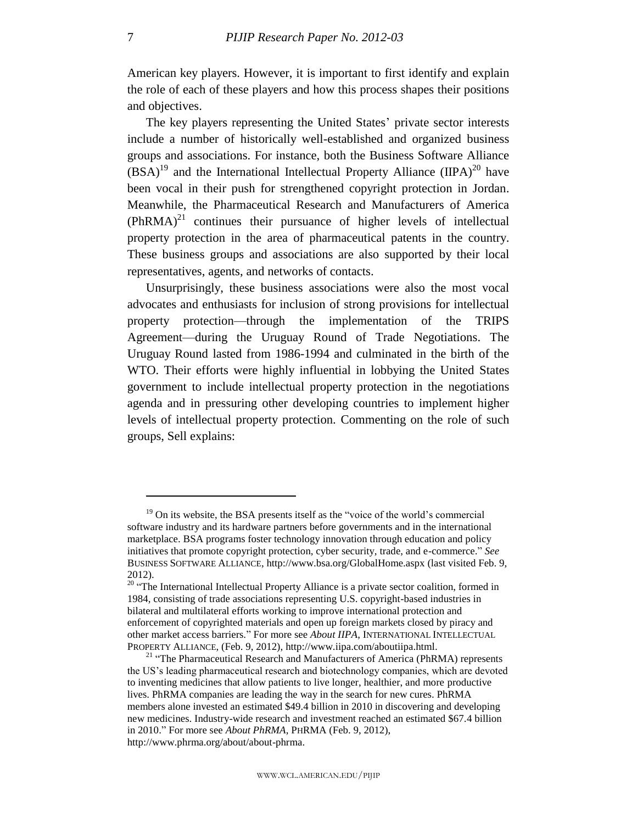American key players. However, it is important to first identify and explain the role of each of these players and how this process shapes their positions and objectives.

The key players representing the United States' private sector interests include a number of historically well-established and organized business groups and associations. For instance, both the Business Software Alliance  $(BSA)^{19}$  and the International Intellectual Property Alliance  $(IIPA)^{20}$  have been vocal in their push for strengthened copyright protection in Jordan. Meanwhile, the Pharmaceutical Research and Manufacturers of America  $(PhRMA)^{21}$  continues their pursuance of higher levels of intellectual property protection in the area of pharmaceutical patents in the country. These business groups and associations are also supported by their local representatives, agents, and networks of contacts.

Unsurprisingly, these business associations were also the most vocal advocates and enthusiasts for inclusion of strong provisions for intellectual property protection—through the implementation of the TRIPS Agreement—during the Uruguay Round of Trade Negotiations. The Uruguay Round lasted from 1986-1994 and culminated in the birth of the WTO. Their efforts were highly influential in lobbying the United States government to include intellectual property protection in the negotiations agenda and in pressuring other developing countries to implement higher levels of intellectual property protection. Commenting on the role of such groups, Sell explains:

 $19$  On its website, the BSA presents itself as the "voice of the world's commercial software industry and its hardware partners before governments and in the international marketplace. BSA programs foster technology innovation through education and policy initiatives that promote copyright protection, cyber security, trade, and e-commerce." *See* BUSINESS SOFTWARE ALLIANCE, http://www.bsa.org/GlobalHome.aspx (last visited Feb. 9, 2012).

 $20^{20}$  "The International Intellectual Property Alliance is a private sector coalition, formed in 1984, consisting of trade associations representing U.S. copyright-based industries in bilateral and multilateral efforts working to improve international protection and enforcement of copyrighted materials and open up foreign markets closed by piracy and other market access barriers." For more see *About IIPA*, INTERNATIONAL INTELLECTUAL PROPERTY ALLIANCE, (Feb. 9, 2012), http://www.iipa.com/aboutiipa.html.

<sup>&</sup>lt;sup>21</sup> "The Pharmaceutical Research and Manufacturers of America (PhRMA) represents the US's leading pharmaceutical research and biotechnology companies, which are devoted to inventing medicines that allow patients to live longer, healthier, and more productive lives. PhRMA companies are leading the way in the search for new cures. PhRMA members alone invested an estimated \$49.4 billion in 2010 in discovering and developing new medicines. Industry-wide research and investment reached an estimated \$67.4 billion in 2010." For more see *About PhRMA*, PHRMA (Feb. 9, 2012), http://www.phrma.org/about/about-phrma.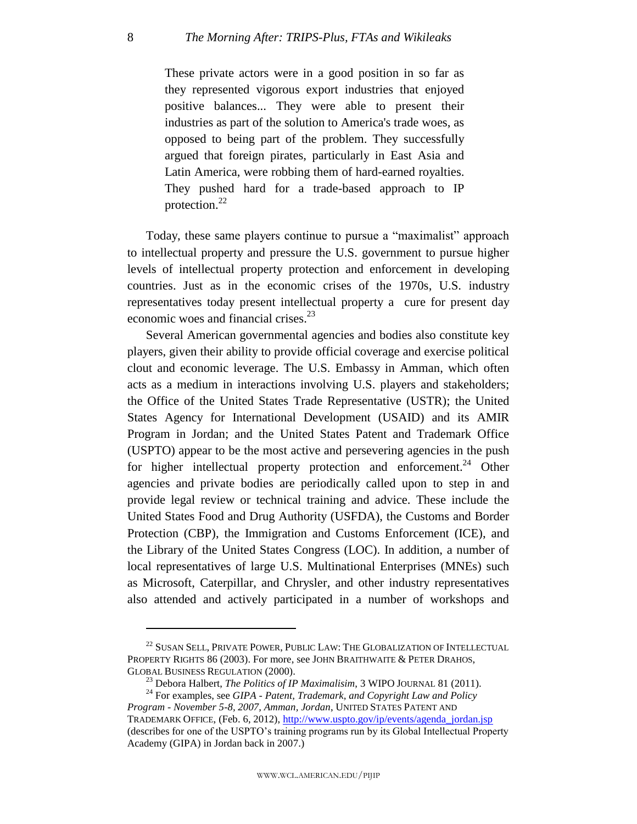These private actors were in a good position in so far as they represented vigorous export industries that enjoyed positive balances... They were able to present their industries as part of the solution to America's trade woes, as opposed to being part of the problem. They successfully argued that foreign pirates, particularly in East Asia and Latin America, were robbing them of hard-earned royalties. They pushed hard for a trade-based approach to IP protection. $^{22}$ 

Today, these same players continue to pursue a "maximalist" approach to intellectual property and pressure the U.S. government to pursue higher levels of intellectual property protection and enforcement in developing countries. Just as in the economic crises of the 1970s, U.S. industry representatives today present intellectual property a cure for present day economic woes and financial crises.<sup>23</sup>

Several American governmental agencies and bodies also constitute key players, given their ability to provide official coverage and exercise political clout and economic leverage. The U.S. Embassy in Amman, which often acts as a medium in interactions involving U.S. players and stakeholders; the Office of the United States Trade Representative (USTR); the United States Agency for International Development (USAID) and its AMIR Program in Jordan; and the United States Patent and Trademark Office (USPTO) appear to be the most active and persevering agencies in the push for higher intellectual property protection and enforcement.<sup>24</sup> Other agencies and private bodies are periodically called upon to step in and provide legal review or technical training and advice. These include the United States Food and Drug Authority (USFDA), the Customs and Border Protection (CBP), the Immigration and Customs Enforcement (ICE), and the Library of the United States Congress (LOC). In addition, a number of local representatives of large U.S. Multinational Enterprises (MNEs) such as Microsoft, Caterpillar, and Chrysler, and other industry representatives also attended and actively participated in a number of workshops and

<sup>&</sup>lt;sup>22</sup> SUSAN SELL, PRIVATE POWER, PUBLIC LAW: THE GLOBALIZATION OF INTELLECTUAL PROPERTY RIGHTS 86 (2003). For more, see JOHN BRAITHWAITE & PETER DRAHOS, GLOBAL BUSINESS REGULATION (2000).

<sup>23</sup> Debora Halbert, *The Politics of IP Maximalisim*, 3 WIPO JOURNAL 81 (2011).

<sup>24</sup> For examples, see *GIPA - Patent, Trademark, and Copyright Law and Policy Program - November 5-8, 2007, Amman, Jordan*, UNITED STATES PATENT AND TRADEMARK OFFICE, (Feb. 6, 2012), [http://www.uspto.gov/ip/events/agenda\\_jordan.jsp](http://www.uspto.gov/ip/events/agenda_jordan.jsp) 

<sup>(</sup>describes for one of the USPTO's training programs run by its Global Intellectual Property Academy (GIPA) in Jordan back in 2007.)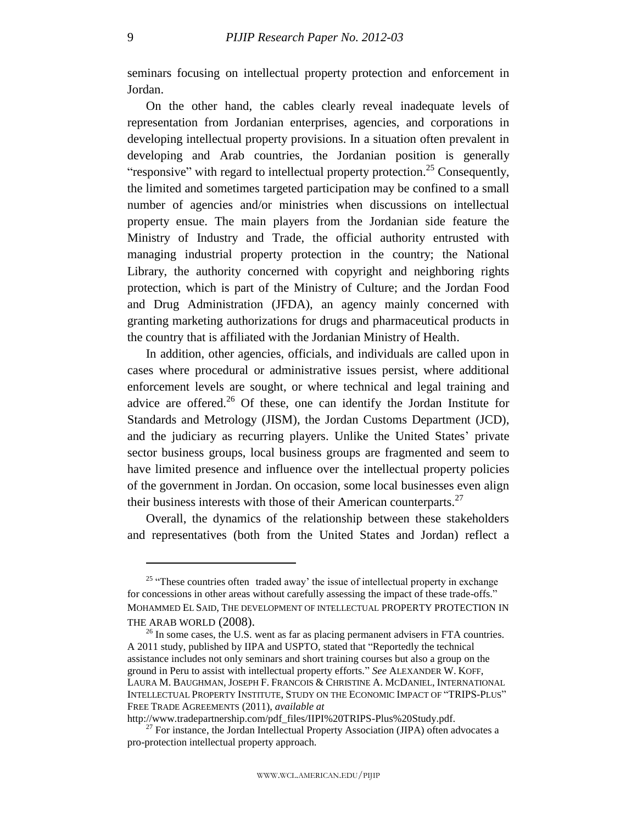seminars focusing on intellectual property protection and enforcement in Jordan.

On the other hand, the cables clearly reveal inadequate levels of representation from Jordanian enterprises, agencies, and corporations in developing intellectual property provisions. In a situation often prevalent in developing and Arab countries, the Jordanian position is generally "responsive" with regard to intellectual property protection.<sup>25</sup> Consequently, the limited and sometimes targeted participation may be confined to a small number of agencies and/or ministries when discussions on intellectual property ensue. The main players from the Jordanian side feature the Ministry of Industry and Trade, the official authority entrusted with managing industrial property protection in the country; the National Library, the authority concerned with copyright and neighboring rights protection, which is part of the Ministry of Culture; and the Jordan Food and Drug Administration (JFDA), an agency mainly concerned with granting marketing authorizations for drugs and pharmaceutical products in the country that is affiliated with the Jordanian Ministry of Health.

In addition, other agencies, officials, and individuals are called upon in cases where procedural or administrative issues persist, where additional enforcement levels are sought, or where technical and legal training and advice are offered.<sup>26</sup> Of these, one can identify the Jordan Institute for Standards and Metrology (JISM), the Jordan Customs Department (JCD), and the judiciary as recurring players. Unlike the United States' private sector business groups, local business groups are fragmented and seem to have limited presence and influence over the intellectual property policies of the government in Jordan. On occasion, some local businesses even align their business interests with those of their American counterparts. $27$ 

Overall, the dynamics of the relationship between these stakeholders and representatives (both from the United States and Jordan) reflect a

 $25$  "These countries often traded away' the issue of intellectual property in exchange for concessions in other areas without carefully assessing the impact of these trade-offs." MOHAMMED EL SAID, THE DEVELOPMENT OF INTELLECTUAL PROPERTY PROTECTION IN THE ARAB WORLD (2008).

 $^{26}$  In some cases, the U.S. went as far as placing permanent advisers in FTA countries. A 2011 study, published by IIPA and USPTO, stated that "Reportedly the technical assistance includes not only seminars and short training courses but also a group on the ground in Peru to assist with intellectual property efforts." See ALEXANDER W. KOFF, LAURA M. BAUGHMAN, JOSEPH F. FRANCOIS & CHRISTINE A. MCDANIEL, INTERNATIONAL INTELLECTUAL PROPERTY INSTITUTE, STUDY ON THE ECONOMIC IMPACT OF "TRIPS-PLUS" FREE TRADE AGREEMENTS (2011), *available at*

http://www.tradepartnership.com/pdf\_files/IIPI%20TRIPS-Plus%20Study.pdf.

 $^{27}$  For instance, the Jordan Intellectual Property Association (JIPA) often advocates a pro-protection intellectual property approach.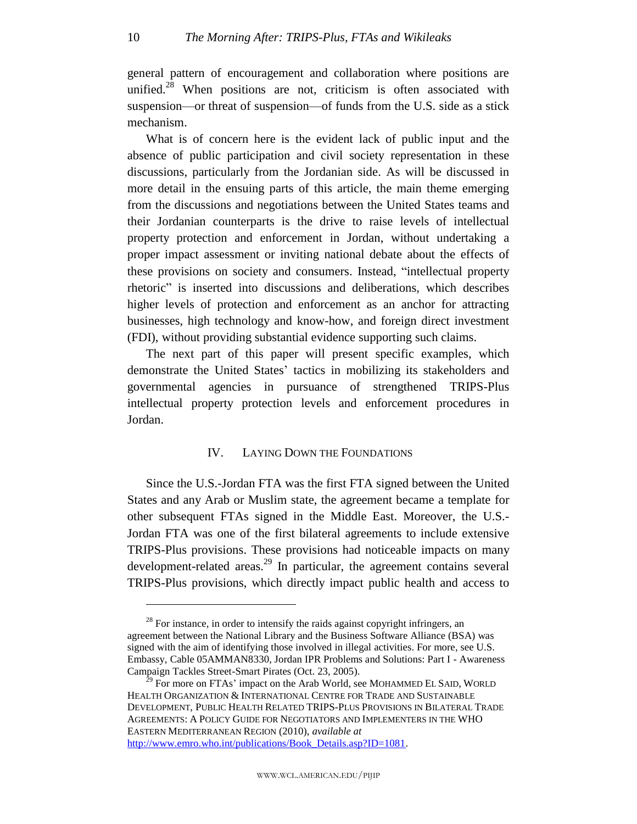general pattern of encouragement and collaboration where positions are unified. $28$  When positions are not, criticism is often associated with suspension—or threat of suspension—of funds from the U.S. side as a stick mechanism.

What is of concern here is the evident lack of public input and the absence of public participation and civil society representation in these discussions, particularly from the Jordanian side. As will be discussed in more detail in the ensuing parts of this article, the main theme emerging from the discussions and negotiations between the United States teams and their Jordanian counterparts is the drive to raise levels of intellectual property protection and enforcement in Jordan, without undertaking a proper impact assessment or inviting national debate about the effects of these provisions on society and consumers. Instead, "intellectual property rhetoric<sup>"</sup> is inserted into discussions and deliberations, which describes higher levels of protection and enforcement as an anchor for attracting businesses, high technology and know-how, and foreign direct investment (FDI), without providing substantial evidence supporting such claims.

The next part of this paper will present specific examples, which demonstrate the United States' tactics in mobilizing its stakeholders and governmental agencies in pursuance of strengthened TRIPS-Plus intellectual property protection levels and enforcement procedures in Jordan.

#### IV. LAYING DOWN THE FOUNDATIONS

<span id="page-10-0"></span>Since the U.S.-Jordan FTA was the first FTA signed between the United States and any Arab or Muslim state, the agreement became a template for other subsequent FTAs signed in the Middle East. Moreover, the U.S.- Jordan FTA was one of the first bilateral agreements to include extensive TRIPS-Plus provisions. These provisions had noticeable impacts on many development-related areas.<sup>29</sup> In particular, the agreement contains several TRIPS-Plus provisions, which directly impact public health and access to

 $^{28}$  For instance, in order to intensify the raids against copyright infringers, an agreement between the National Library and the Business Software Alliance (BSA) was signed with the aim of identifying those involved in illegal activities. For more, see U.S. Embassy, Cable 05AMMAN8330, Jordan IPR Problems and Solutions: Part I - Awareness Campaign Tackles Street-Smart Pirates (Oct. 23, 2005).

 $^{9}$  For more on FTAs' impact on the Arab World, see MOHAMMED EL SAID, WORLD HEALTH ORGANIZATION & INTERNATIONAL CENTRE FOR TRADE AND SUSTAINABLE DEVELOPMENT, PUBLIC HEALTH RELATED TRIPS-PLUS PROVISIONS IN BILATERAL TRADE AGREEMENTS: A POLICY GUIDE FOR NEGOTIATORS AND IMPLEMENTERS IN THE WHO EASTERN MEDITERRANEAN REGION (2010), *available at* http://www.emro.who.int/publications/Book\_Details.asp?ID=1081.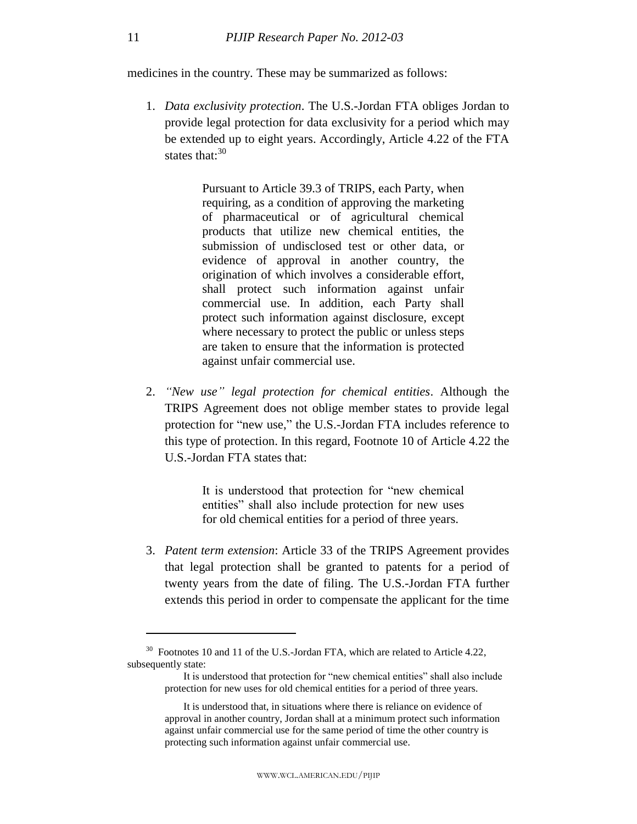medicines in the country. These may be summarized as follows:

1. *Data exclusivity protection*. The U.S.-Jordan FTA obliges Jordan to provide legal protection for data exclusivity for a period which may be extended up to eight years. Accordingly, Article 4.22 of the FTA states that:<sup>30</sup>

> Pursuant to Article 39.3 of TRIPS, each Party, when requiring, as a condition of approving the marketing of pharmaceutical or of agricultural chemical products that utilize new chemical entities, the submission of undisclosed test or other data, or evidence of approval in another country, the origination of which involves a considerable effort, shall protect such information against unfair commercial use. In addition, each Party shall protect such information against disclosure, except where necessary to protect the public or unless steps are taken to ensure that the information is protected against unfair commercial use.

2. *"New use" legal protection for chemical entities*. Although the TRIPS Agreement does not oblige member states to provide legal protection for "new use," the U.S.-Jordan FTA includes reference to this type of protection. In this regard, Footnote 10 of Article 4.22 the U.S.-Jordan FTA states that:

> It is understood that protection for "new chemical entities" shall also include protection for new uses for old chemical entities for a period of three years.

3. *Patent term extension*: Article 33 of the TRIPS Agreement provides that legal protection shall be granted to patents for a period of twenty years from the date of filing. The U.S.-Jordan FTA further extends this period in order to compensate the applicant for the time

 $30$  Footnotes 10 and 11 of the U.S.-Jordan FTA, which are related to Article 4.22, subsequently state:

It is understood that protection for "new chemical entities" shall also include protection for new uses for old chemical entities for a period of three years.

It is understood that, in situations where there is reliance on evidence of approval in another country, Jordan shall at a minimum protect such information against unfair commercial use for the same period of time the other country is protecting such information against unfair commercial use.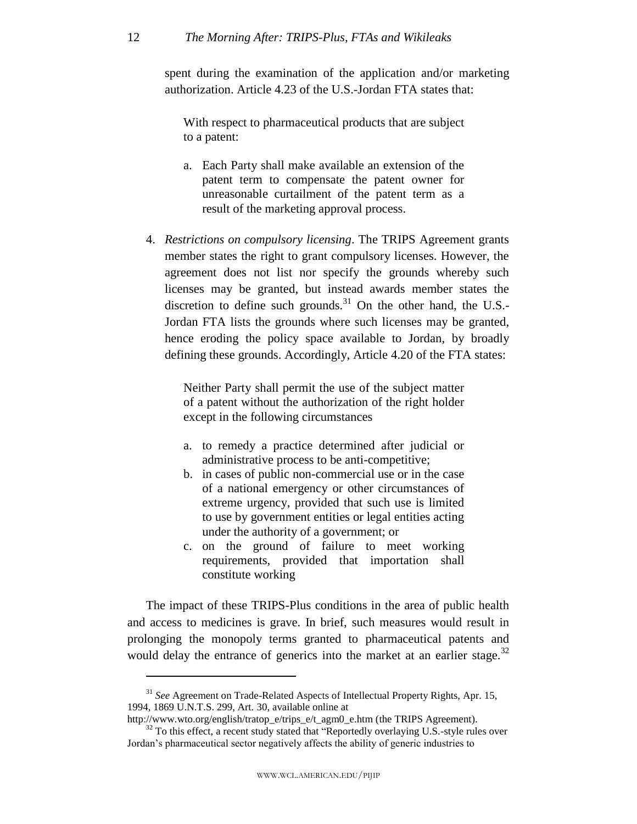#### 12 *The Morning After: TRIPS-Plus, FTAs and Wikileaks*

spent during the examination of the application and/or marketing authorization. Article 4.23 of the U.S.-Jordan FTA states that:

With respect to pharmaceutical products that are subject to a patent:

- a. Each Party shall make available an extension of the patent term to compensate the patent owner for unreasonable curtailment of the patent term as a result of the marketing approval process.
- 4. *Restrictions on compulsory licensing*. The TRIPS Agreement grants member states the right to grant compulsory licenses. However, the agreement does not list nor specify the grounds whereby such licenses may be granted, but instead awards member states the discretion to define such grounds. $31$  On the other hand, the U.S.-Jordan FTA lists the grounds where such licenses may be granted, hence eroding the policy space available to Jordan, by broadly defining these grounds. Accordingly, Article 4.20 of the FTA states:

Neither Party shall permit the use of the subject matter of a patent without the authorization of the right holder except in the following circumstances

- a. to remedy a practice determined after judicial or administrative process to be anti-competitive;
- b. in cases of public non-commercial use or in the case of a national emergency or other circumstances of extreme urgency, provided that such use is limited to use by government entities or legal entities acting under the authority of a government; or
- c. on the ground of failure to meet working requirements, provided that importation shall constitute working

The impact of these TRIPS-Plus conditions in the area of public health and access to medicines is grave. In brief, such measures would result in prolonging the monopoly terms granted to pharmaceutical patents and would delay the entrance of generics into the market at an earlier stage.<sup>32</sup>

<sup>31</sup> *See* Agreement on Trade-Related Aspects of Intellectual Property Rights, Apr. 15, 1994, 1869 U.N.T.S. 299, Art. 30, available online at

http://www.wto.org/english/tratop\_e/trips\_e/t\_agm0\_e.htm (the TRIPS Agreement).

<sup>&</sup>lt;sup>32</sup> To this effect, a recent study stated that "Reportedly overlaying U.S.-style rules over Jordan's pharmaceutical sector negatively affects the ability of generic industries to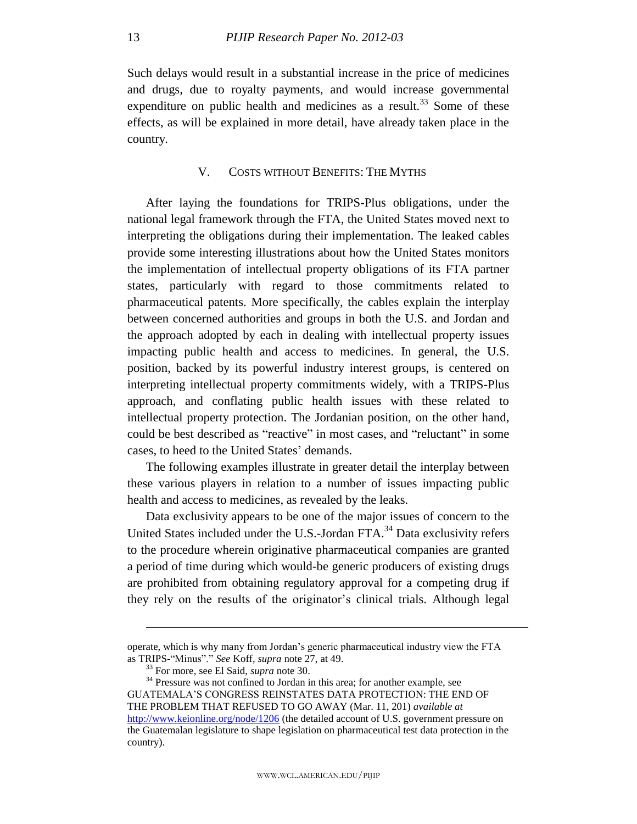Such delays would result in a substantial increase in the price of medicines and drugs, due to royalty payments, and would increase governmental expenditure on public health and medicines as a result.<sup>33</sup> Some of these effects, as will be explained in more detail, have already taken place in the country.

#### V. COSTS WITHOUT BENEFITS: THE MYTHS

<span id="page-13-0"></span>After laying the foundations for TRIPS-Plus obligations, under the national legal framework through the FTA, the United States moved next to interpreting the obligations during their implementation. The leaked cables provide some interesting illustrations about how the United States monitors the implementation of intellectual property obligations of its FTA partner states, particularly with regard to those commitments related to pharmaceutical patents. More specifically, the cables explain the interplay between concerned authorities and groups in both the U.S. and Jordan and the approach adopted by each in dealing with intellectual property issues impacting public health and access to medicines. In general, the U.S. position, backed by its powerful industry interest groups, is centered on interpreting intellectual property commitments widely, with a TRIPS-Plus approach, and conflating public health issues with these related to intellectual property protection. The Jordanian position, on the other hand, could be best described as "reactive" in most cases, and "reluctant" in some cases, to heed to the United States' demands.

The following examples illustrate in greater detail the interplay between these various players in relation to a number of issues impacting public health and access to medicines, as revealed by the leaks.

Data exclusivity appears to be one of the major issues of concern to the United States included under the U.S.-Jordan FTA.<sup>34</sup> Data exclusivity refers to the procedure wherein originative pharmaceutical companies are granted a period of time during which would-be generic producers of existing drugs are prohibited from obtaining regulatory approval for a competing drug if they rely on the results of the originator's clinical trials. Although legal

operate, which is why many from Jordan's generic pharmaceutical industry view the FTA as TRIPS-"Minus"." See Koff, *supra* note 27, at 49.

<sup>33</sup> For more, see El Said, *supra* note 30.

<sup>&</sup>lt;sup>34</sup> Pressure was not confined to Jordan in this area; for another example, see GUATEMALA'S CONGRESS REINSTATES DATA PROTECTION: THE END OF THE PROBLEM THAT REFUSED TO GO AWAY (Mar. 11, 201) *available at* <http://www.keionline.org/node/1206> (the detailed account of U.S. government pressure on the Guatemalan legislature to shape legislation on pharmaceutical test data protection in the country).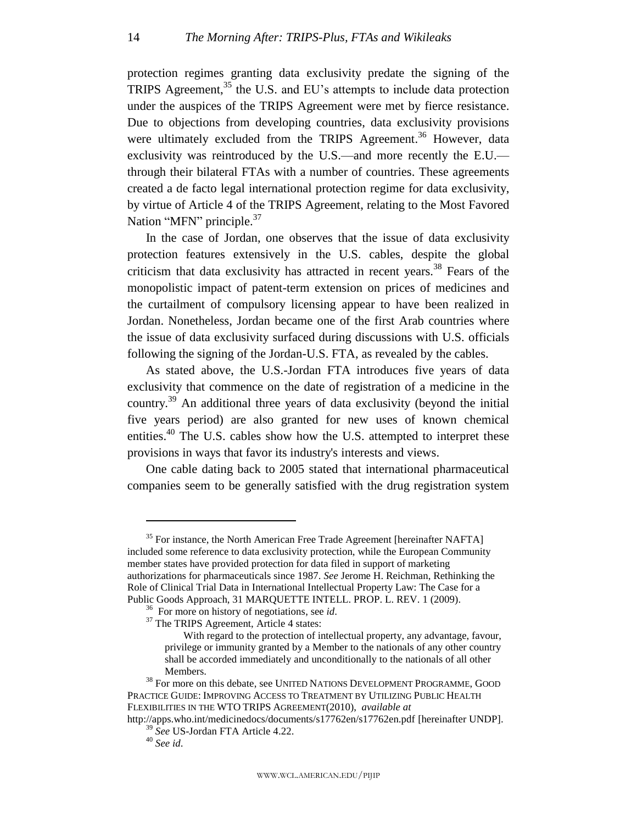protection regimes granting data exclusivity predate the signing of the TRIPS Agreement,  $35$  the U.S. and EU's attempts to include data protection under the auspices of the TRIPS Agreement were met by fierce resistance. Due to objections from developing countries, data exclusivity provisions were ultimately excluded from the TRIPS Agreement.<sup>36</sup> However, data exclusivity was reintroduced by the U.S.—and more recently the E.U. through their bilateral FTAs with a number of countries. These agreements created a de facto legal international protection regime for data exclusivity, by virtue of Article 4 of the TRIPS Agreement, relating to the Most Favored Nation "MFN" principle.<sup>37</sup>

In the case of Jordan, one observes that the issue of data exclusivity protection features extensively in the U.S. cables, despite the global criticism that data exclusivity has attracted in recent years.<sup>38</sup> Fears of the monopolistic impact of patent-term extension on prices of medicines and the curtailment of compulsory licensing appear to have been realized in Jordan. Nonetheless, Jordan became one of the first Arab countries where the issue of data exclusivity surfaced during discussions with U.S. officials following the signing of the Jordan-U.S. FTA, as revealed by the cables.

As stated above, the U.S.-Jordan FTA introduces five years of data exclusivity that commence on the date of registration of a medicine in the country.<sup>39</sup> An additional three years of data exclusivity (beyond the initial five years period) are also granted for new uses of known chemical entities.<sup>40</sup> The U.S. cables show how the U.S. attempted to interpret these provisions in ways that favor its industry's interests and views.

One cable dating back to 2005 stated that international pharmaceutical companies seem to be generally satisfied with the drug registration system

 $35$  For instance, the North American Free Trade Agreement [hereinafter NAFTA] included some reference to data exclusivity protection, while the European Community member states have provided protection for data filed in support of marketing authorizations for pharmaceuticals since 1987. *See* Jerome H. Reichman, Rethinking the Role of Clinical Trial Data in International Intellectual Property Law: The Case for a Public Goods Approach, 31 MARQUETTE INTELL. PROP. L. REV. 1 (2009).

<sup>36</sup> For more on history of negotiations, see *id*.

<sup>&</sup>lt;sup>37</sup> The TRIPS Agreement, Article 4 states:

With regard to the protection of intellectual property, any advantage, favour, privilege or immunity granted by a Member to the nationals of any other country shall be accorded immediately and unconditionally to the nationals of all other Members.

<sup>&</sup>lt;sup>38</sup> For more on this debate, see UNITED NATIONS DEVELOPMENT PROGRAMME, GOOD PRACTICE GUIDE: IMPROVING ACCESS TO TREATMENT BY UTILIZING PUBLIC HEALTH FLEXIBILITIES IN THE WTO TRIPS AGREEMENT(2010), *available at*

http://apps.who.int/medicinedocs/documents/s17762en/s17762en.pdf [hereinafter UNDP]. <sup>39</sup> *See* US-Jordan FTA Article 4.22.

<sup>40</sup> *See id*.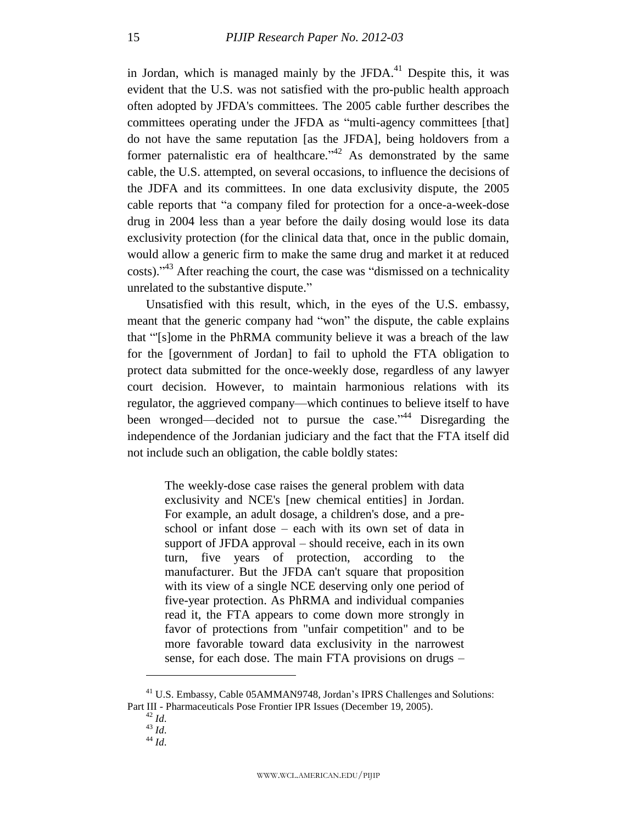in Jordan, which is managed mainly by the JFDA. $41$  Despite this, it was evident that the U.S. was not satisfied with the pro-public health approach often adopted by JFDA's committees. The 2005 cable further describes the committees operating under the JFDA as "multi-agency committees [that] do not have the same reputation [as the JFDA], being holdovers from a former paternalistic era of healthcare.<sup> $2^{42}$ </sup> As demonstrated by the same cable, the U.S. attempted, on several occasions, to influence the decisions of the JDFA and its committees. In one data exclusivity dispute, the 2005 cable reports that "a company filed for protection for a once-a-week-dose drug in 2004 less than a year before the daily dosing would lose its data exclusivity protection (for the clinical data that, once in the public domain, would allow a generic firm to make the same drug and market it at reduced costs). $1^{43}$  After reaching the court, the case was "dismissed on a technicality unrelated to the substantive dispute."

Unsatisfied with this result, which, in the eyes of the U.S. embassy, meant that the generic company had "won" the dispute, the cable explains that "[s]ome in the PhRMA community believe it was a breach of the law for the [government of Jordan] to fail to uphold the FTA obligation to protect data submitted for the once-weekly dose, regardless of any lawyer court decision. However, to maintain harmonious relations with its regulator, the aggrieved company—which continues to believe itself to have been wronged—decided not to pursue the case.<sup>14</sup> Disregarding the independence of the Jordanian judiciary and the fact that the FTA itself did not include such an obligation, the cable boldly states:

The weekly-dose case raises the general problem with data exclusivity and NCE's [new chemical entities] in Jordan. For example, an adult dosage, a children's dose, and a preschool or infant dose – each with its own set of data in support of JFDA approval – should receive, each in its own turn, five years of protection, according to the manufacturer. But the JFDA can't square that proposition with its view of a single NCE deserving only one period of five-year protection. As PhRMA and individual companies read it, the FTA appears to come down more strongly in favor of protections from "unfair competition" and to be more favorable toward data exclusivity in the narrowest sense, for each dose. The main FTA provisions on drugs –

<sup>41</sup> U.S. Embassy, Cable 05AMMAN9748, Jordan's IPRS Challenges and Solutions: Part III - Pharmaceuticals Pose Frontier IPR Issues (December 19, 2005).

<sup>42</sup> *Id*.

 $^{43}$  *Id.* 

 $^{44}$  *Id.*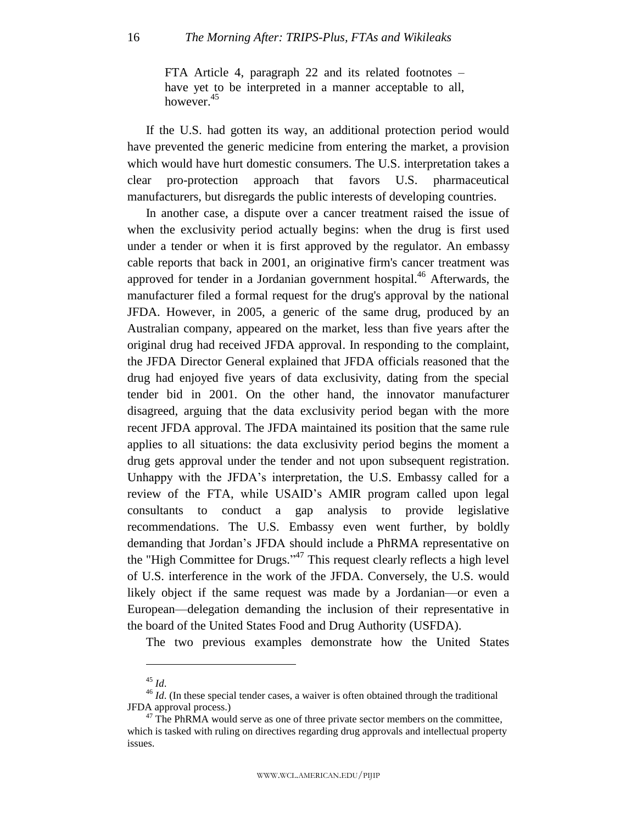FTA Article 4, paragraph 22 and its related footnotes – have yet to be interpreted in a manner acceptable to all, however.<sup>45</sup>

If the U.S. had gotten its way, an additional protection period would have prevented the generic medicine from entering the market, a provision which would have hurt domestic consumers. The U.S. interpretation takes a clear pro-protection approach that favors U.S. pharmaceutical manufacturers, but disregards the public interests of developing countries.

In another case, a dispute over a cancer treatment raised the issue of when the exclusivity period actually begins: when the drug is first used under a tender or when it is first approved by the regulator. An embassy cable reports that back in 2001, an originative firm's cancer treatment was approved for tender in a Jordanian government hospital.<sup>46</sup> Afterwards, the manufacturer filed a formal request for the drug's approval by the national JFDA. However, in 2005, a generic of the same drug, produced by an Australian company, appeared on the market, less than five years after the original drug had received JFDA approval. In responding to the complaint, the JFDA Director General explained that JFDA officials reasoned that the drug had enjoyed five years of data exclusivity, dating from the special tender bid in 2001. On the other hand, the innovator manufacturer disagreed, arguing that the data exclusivity period began with the more recent JFDA approval. The JFDA maintained its position that the same rule applies to all situations: the data exclusivity period begins the moment a drug gets approval under the tender and not upon subsequent registration. Unhappy with the JFDA's interpretation, the U.S. Embassy called for a review of the FTA, while USAID's AMIR program called upon legal consultants to conduct a gap analysis to provide legislative recommendations. The U.S. Embassy even went further, by boldly demanding that Jordan's JFDA should include a PhRMA representative on the "High Committee for Drugs."<sup> $47$ </sup> This request clearly reflects a high level of U.S. interference in the work of the JFDA. Conversely, the U.S. would likely object if the same request was made by a Jordanian—or even a European—delegation demanding the inclusion of their representative in the board of the United States Food and Drug Authority (USFDA).

The two previous examples demonstrate how the United States

<sup>45</sup> *Id*.

<sup>46</sup> *Id*. (In these special tender cases, a waiver is often obtained through the traditional JFDA approval process.)

 $47$  The PhRMA would serve as one of three private sector members on the committee, which is tasked with ruling on directives regarding drug approvals and intellectual property issues.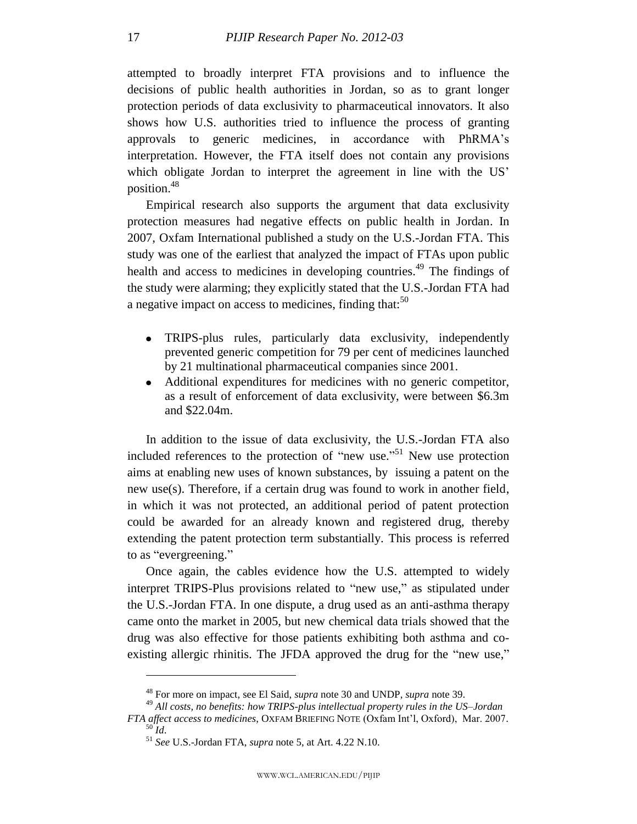attempted to broadly interpret FTA provisions and to influence the decisions of public health authorities in Jordan, so as to grant longer protection periods of data exclusivity to pharmaceutical innovators. It also shows how U.S. authorities tried to influence the process of granting approvals to generic medicines, in accordance with PhRMA's interpretation. However, the FTA itself does not contain any provisions which obligate Jordan to interpret the agreement in line with the US' position. 48

Empirical research also supports the argument that data exclusivity protection measures had negative effects on public health in Jordan. In 2007, Oxfam International published a study on the U.S.-Jordan FTA. This study was one of the earliest that analyzed the impact of FTAs upon public health and access to medicines in developing countries.<sup>49</sup> The findings of the study were alarming; they explicitly stated that the U.S.-Jordan FTA had a negative impact on access to medicines, finding that: $50$ 

- TRIPS-plus rules, particularly data exclusivity, independently prevented generic competition for 79 per cent of medicines launched by 21 multinational pharmaceutical companies since 2001.
- Additional expenditures for medicines with no generic competitor, as a result of enforcement of data exclusivity, were between \$6.3m and \$22.04m.

In addition to the issue of data exclusivity, the U.S.-Jordan FTA also included references to the protection of "new use."<sup>51</sup> New use protection aims at enabling new uses of known substances, by issuing a patent on the new use(s). Therefore, if a certain drug was found to work in another field, in which it was not protected, an additional period of patent protection could be awarded for an already known and registered drug, thereby extending the patent protection term substantially. This process is referred to as "evergreening."

Once again, the cables evidence how the U.S. attempted to widely interpret TRIPS-Plus provisions related to "new use," as stipulated under the U.S.-Jordan FTA. In one dispute, a drug used as an anti-asthma therapy came onto the market in 2005, but new chemical data trials showed that the drug was also effective for those patients exhibiting both asthma and coexisting allergic rhinitis. The JFDA approved the drug for the "new use,"

<sup>48</sup> For more on impact, see El Said, *supra* note 30 and UNDP, *supra* note 39.

<sup>49</sup> *All costs, no benefits: how TRIPS-plus intellectual property rules in the US–Jordan FTA affect access to medicines*, OXFAM BRIEFING NOTE (Oxfam Int'l, Oxford), Mar. 2007.

 $50^{\circ}$ *Id.* 

<sup>51</sup> *See* U.S.-Jordan FTA, *supra* note 5, at Art. 4.22 N.10.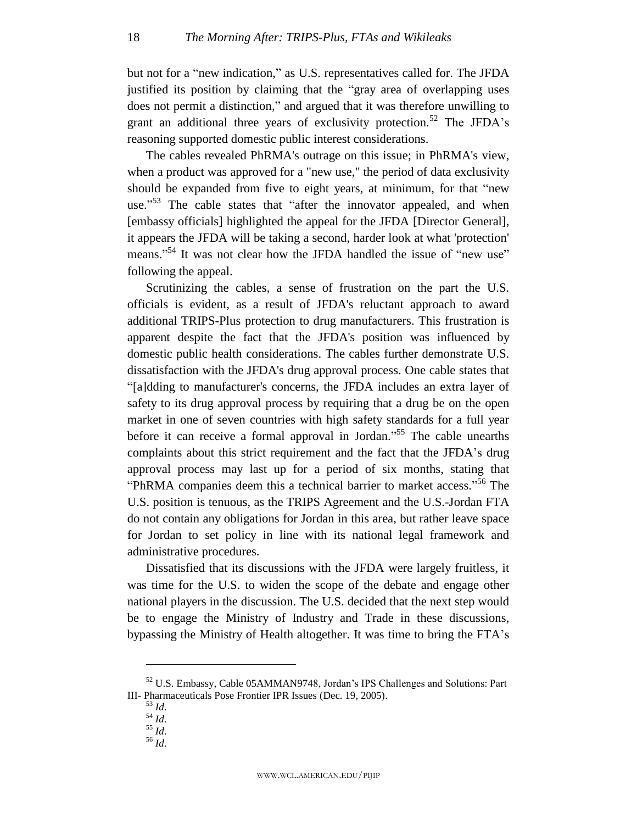but not for a "new indication," as U.S. representatives called for. The JFDA justified its position by claiming that the "gray area of overlapping uses" does not permit a distinction," and argued that it was therefore unwilling to grant an additional three years of exclusivity protection.<sup>52</sup> The JFDA's reasoning supported domestic public interest considerations.

The cables revealed PhRMA's outrage on this issue; in PhRMA's view, when a product was approved for a "new use," the period of data exclusivity should be expanded from five to eight years, at minimum, for that "new use."<sup>53</sup> The cable states that "after the innovator appealed, and when [embassy officials] highlighted the appeal for the JFDA [Director General], it appears the JFDA will be taking a second, harder look at what 'protection' means."<sup>54</sup> It was not clear how the JFDA handled the issue of "new use" following the appeal.

Scrutinizing the cables, a sense of frustration on the part the U.S. officials is evident, as a result of JFDA's reluctant approach to award additional TRIPS-Plus protection to drug manufacturers. This frustration is apparent despite the fact that the JFDA's position was influenced by domestic public health considerations. The cables further demonstrate U.S. dissatisfaction with the JFDA's drug approval process. One cable states that ―[a]dding to manufacturer's concerns, the JFDA includes an extra layer of safety to its drug approval process by requiring that a drug be on the open market in one of seven countries with high safety standards for a full year before it can receive a formal approval in Jordan."<sup>55</sup> The cable unearths complaints about this strict requirement and the fact that the JFDA's drug approval process may last up for a period of six months, stating that "PhRMA companies deem this a technical barrier to market access."<sup>56</sup> The U.S. position is tenuous, as the TRIPS Agreement and the U.S.-Jordan FTA do not contain any obligations for Jordan in this area, but rather leave space for Jordan to set policy in line with its national legal framework and administrative procedures.

Dissatisfied that its discussions with the JFDA were largely fruitless, it was time for the U.S. to widen the scope of the debate and engage other national players in the discussion. The U.S. decided that the next step would be to engage the Ministry of Industry and Trade in these discussions, bypassing the Ministry of Health altogether. It was time to bring the FTA's

<sup>52</sup> U.S. Embassy, Cable 05AMMAN9748, Jordan's IPS Challenges and Solutions: Part III- Pharmaceuticals Pose Frontier IPR Issues (Dec. 19, 2005).

<sup>53</sup> *Id*.

<sup>54</sup> *Id*.

<sup>55</sup> *Id*.

<sup>56</sup> *Id*.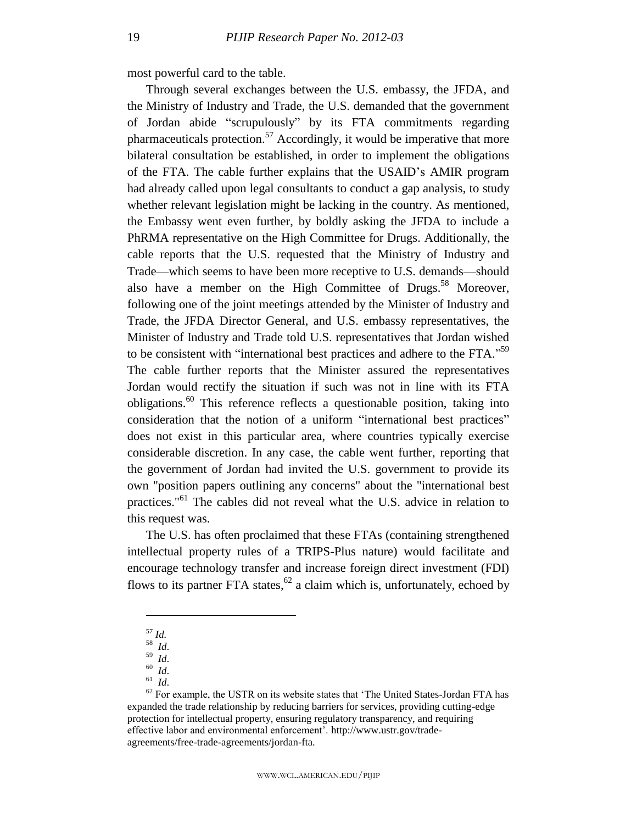most powerful card to the table.

Through several exchanges between the U.S. embassy, the JFDA, and the Ministry of Industry and Trade, the U.S. demanded that the government of Jordan abide "scrupulously" by its FTA commitments regarding pharmaceuticals protection.<sup>57</sup> Accordingly, it would be imperative that more bilateral consultation be established, in order to implement the obligations of the FTA. The cable further explains that the USAID's AMIR program had already called upon legal consultants to conduct a gap analysis, to study whether relevant legislation might be lacking in the country. As mentioned, the Embassy went even further, by boldly asking the JFDA to include a PhRMA representative on the High Committee for Drugs. Additionally, the cable reports that the U.S. requested that the Ministry of Industry and Trade—which seems to have been more receptive to U.S. demands—should also have a member on the High Committee of Drugs.<sup>58</sup> Moreover, following one of the joint meetings attended by the Minister of Industry and Trade, the JFDA Director General, and U.S. embassy representatives, the Minister of Industry and Trade told U.S. representatives that Jordan wished to be consistent with "international best practices and adhere to the FTA."<sup>59</sup> The cable further reports that the Minister assured the representatives Jordan would rectify the situation if such was not in line with its FTA obligations. <sup>60</sup> This reference reflects a questionable position, taking into consideration that the notion of a uniform "international best practices" does not exist in this particular area, where countries typically exercise considerable discretion. In any case, the cable went further, reporting that the government of Jordan had invited the U.S. government to provide its own "position papers outlining any concerns" about the "international best practices."<sup>61</sup> The cables did not reveal what the U.S. advice in relation to this request was.

The U.S. has often proclaimed that these FTAs (containing strengthened intellectual property rules of a TRIPS-Plus nature) would facilitate and encourage technology transfer and increase foreign direct investment (FDI) flows to its partner FTA states,  $62$  a claim which is, unfortunately, echoed by

 $\overline{a}$ 

<sup>60</sup> *Id*.

<sup>61</sup> *Id*.

<sup>57</sup> *Id.*

<sup>58</sup> *Id*.  $59 \overline{Id}$ .

 $62$  For example, the USTR on its website states that 'The United States-Jordan FTA has expanded the trade relationship by reducing barriers for services, providing cutting-edge protection for intellectual property, ensuring regulatory transparency, and requiring effective labor and environmental enforcement'. http://www.ustr.gov/tradeagreements/free-trade-agreements/jordan-fta.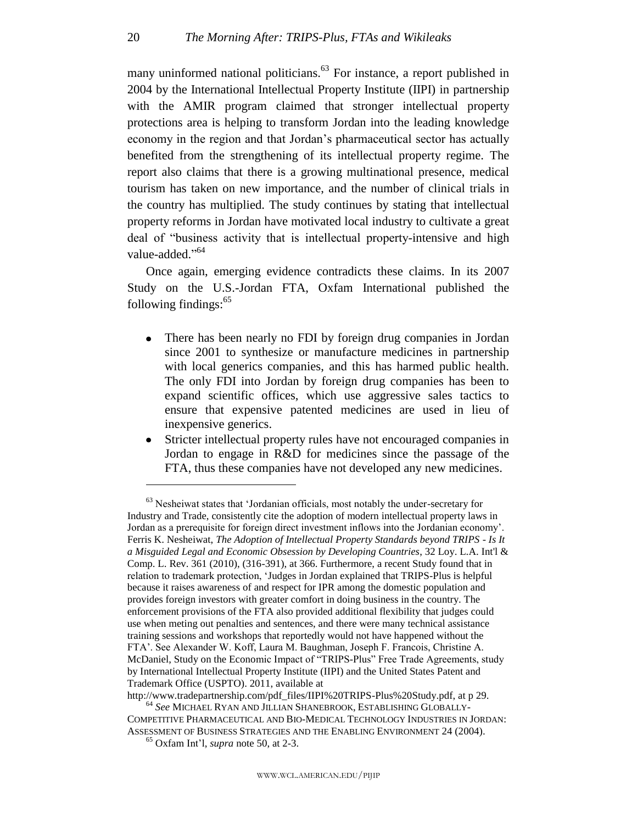many uninformed national politicians.<sup>63</sup> For instance, a report published in 2004 by the International Intellectual Property Institute (IIPI) in partnership with the AMIR program claimed that stronger intellectual property protections area is helping to transform Jordan into the leading knowledge economy in the region and that Jordan's pharmaceutical sector has actually benefited from the strengthening of its intellectual property regime. The report also claims that there is a growing multinational presence, medical tourism has taken on new importance, and the number of clinical trials in the country has multiplied. The study continues by stating that intellectual property reforms in Jordan have motivated local industry to cultivate a great deal of "business activity that is intellectual property-intensive and high value-added."<sup>64</sup>

Once again, emerging evidence contradicts these claims. In its 2007 Study on the U.S.-Jordan FTA, Oxfam International published the following findings:<sup>65</sup>

- There has been nearly no FDI by foreign drug companies in Jordan  $\bullet$ since 2001 to synthesize or manufacture medicines in partnership with local generics companies, and this has harmed public health. The only FDI into Jordan by foreign drug companies has been to expand scientific offices, which use aggressive sales tactics to ensure that expensive patented medicines are used in lieu of inexpensive generics.
- Stricter intellectual property rules have not encouraged companies in Jordan to engage in R&D for medicines since the passage of the FTA, thus these companies have not developed any new medicines.

<sup>&</sup>lt;sup>63</sup> Nesheiwat states that 'Jordanian officials, most notably the under-secretary for Industry and Trade, consistently cite the adoption of modern intellectual property laws in Jordan as a prerequisite for foreign direct investment inflows into the Jordanian economy'. Ferris K. Nesheiwat, *The Adoption of Intellectual Property Standards beyond TRIPS - Is It a Misguided Legal and Economic Obsession by Developing Countries*, 32 Loy. L.A. Int'l & Comp. L. Rev. 361 (2010), (316-391), at 366. Furthermore, a recent Study found that in relation to trademark protection, 'Judges in Jordan explained that TRIPS-Plus is helpful because it raises awareness of and respect for IPR among the domestic population and provides foreign investors with greater comfort in doing business in the country. The enforcement provisions of the FTA also provided additional flexibility that judges could use when meting out penalties and sentences, and there were many technical assistance training sessions and workshops that reportedly would not have happened without the FTA'. See Alexander W. Koff, Laura M. Baughman, Joseph F. Francois, Christine A. McDaniel, Study on the Economic Impact of "TRIPS-Plus" Free Trade Agreements, study by International Intellectual Property Institute (IIPI) and the United States Patent and Trademark Office (USPTO). 2011, available at

http://www.tradepartnership.com/pdf\_files/IIPI%20TRIPS-Plus%20Study.pdf, at p 29.

<sup>64</sup> *See* MICHAEL RYAN AND JILLIAN SHANEBROOK, ESTABLISHING GLOBALLY-COMPETITIVE PHARMACEUTICAL AND BIO-MEDICAL TECHNOLOGY INDUSTRIES IN JORDAN: ASSESSMENT OF BUSINESS STRATEGIES AND THE ENABLING ENVIRONMENT 24 (2004).

<sup>65</sup> Oxfam Int'l, *supra* note 50, at 2-3.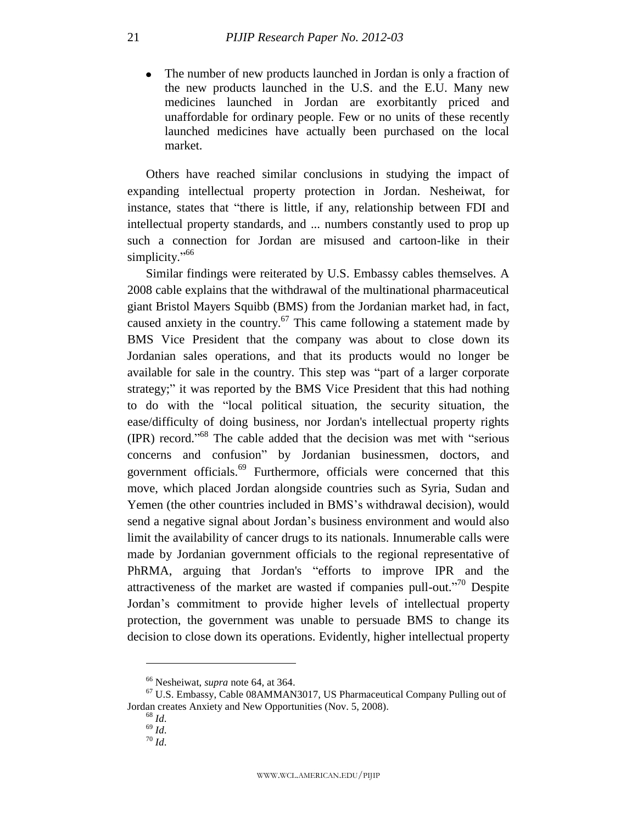• The number of new products launched in Jordan is only a fraction of the new products launched in the U.S. and the E.U. Many new medicines launched in Jordan are exorbitantly priced and unaffordable for ordinary people. Few or no units of these recently launched medicines have actually been purchased on the local market.

Others have reached similar conclusions in studying the impact of expanding intellectual property protection in Jordan. Nesheiwat, for instance, states that "there is little, if any, relationship between FDI and intellectual property standards, and ... numbers constantly used to prop up such a connection for Jordan are misused and cartoon-like in their simplicity."<sup>66</sup>

Similar findings were reiterated by U.S. Embassy cables themselves. A 2008 cable explains that the withdrawal of the multinational pharmaceutical giant Bristol Mayers Squibb (BMS) from the Jordanian market had, in fact, caused anxiety in the country.<sup>67</sup> This came following a statement made by BMS Vice President that the company was about to close down its Jordanian sales operations, and that its products would no longer be available for sale in the country. This step was "part of a larger corporate strategy;" it was reported by the BMS Vice President that this had nothing to do with the "local political situation, the security situation, the ease/difficulty of doing business, nor Jordan's intellectual property rights (IPR) record.<sup> $.68$ </sup> The cable added that the decision was met with "serious concerns and confusion" by Jordanian businessmen, doctors, and government officials.<sup>69</sup> Furthermore, officials were concerned that this move, which placed Jordan alongside countries such as Syria, Sudan and Yemen (the other countries included in BMS's withdrawal decision), would send a negative signal about Jordan's business environment and would also limit the availability of cancer drugs to its nationals. Innumerable calls were made by Jordanian government officials to the regional representative of PhRMA, arguing that Jordan's "efforts to improve IPR and the attractiveness of the market are wasted if companies pull-out."<sup>70</sup> Despite Jordan's commitment to provide higher levels of intellectual property protection, the government was unable to persuade BMS to change its decision to close down its operations. Evidently, higher intellectual property

<sup>66</sup> Nesheiwat, *supra* note 64, at 364.

<sup>67</sup> U.S. Embassy, Cable 08AMMAN3017, US Pharmaceutical Company Pulling out of Jordan creates Anxiety and New Opportunities (Nov. 5, 2008).

<sup>68</sup> *Id*.  $69$   $\overline{1}d$ .

<sup>70</sup> *Id*.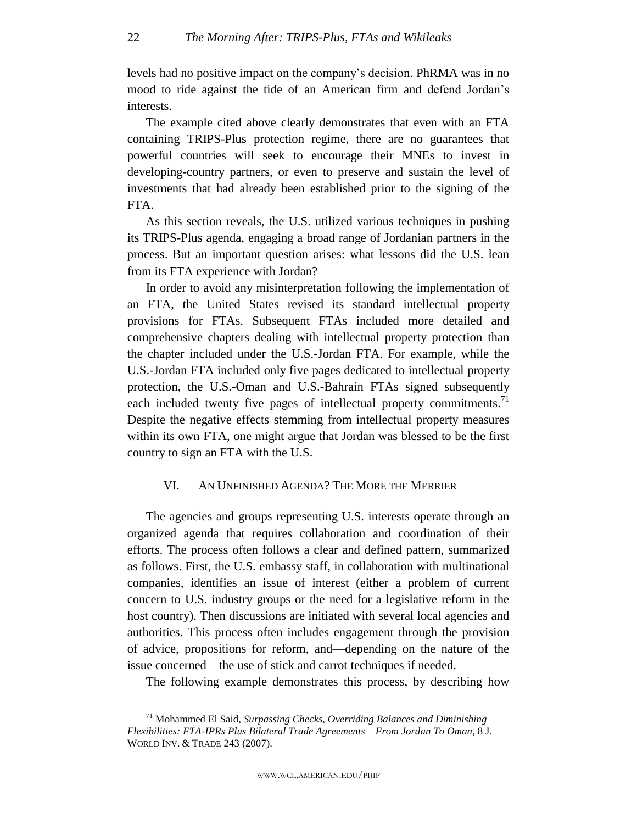levels had no positive impact on the company's decision. PhRMA was in no mood to ride against the tide of an American firm and defend Jordan's interests.

The example cited above clearly demonstrates that even with an FTA containing TRIPS-Plus protection regime, there are no guarantees that powerful countries will seek to encourage their MNEs to invest in developing-country partners, or even to preserve and sustain the level of investments that had already been established prior to the signing of the FTA.

As this section reveals, the U.S. utilized various techniques in pushing its TRIPS-Plus agenda, engaging a broad range of Jordanian partners in the process. But an important question arises: what lessons did the U.S. lean from its FTA experience with Jordan?

In order to avoid any misinterpretation following the implementation of an FTA, the United States revised its standard intellectual property provisions for FTAs. Subsequent FTAs included more detailed and comprehensive chapters dealing with intellectual property protection than the chapter included under the U.S.-Jordan FTA. For example, while the U.S.-Jordan FTA included only five pages dedicated to intellectual property protection, the U.S.-Oman and U.S.-Bahrain FTAs signed subsequently each included twenty five pages of intellectual property commitments.<sup>71</sup> Despite the negative effects stemming from intellectual property measures within its own FTA, one might argue that Jordan was blessed to be the first country to sign an FTA with the U.S.

#### VI. AN UNFINISHED AGENDA? THE MORE THE MERRIER

<span id="page-22-0"></span>The agencies and groups representing U.S. interests operate through an organized agenda that requires collaboration and coordination of their efforts. The process often follows a clear and defined pattern, summarized as follows. First, the U.S. embassy staff, in collaboration with multinational companies, identifies an issue of interest (either a problem of current concern to U.S. industry groups or the need for a legislative reform in the host country). Then discussions are initiated with several local agencies and authorities. This process often includes engagement through the provision of advice, propositions for reform, and—depending on the nature of the issue concerned—the use of stick and carrot techniques if needed.

The following example demonstrates this process, by describing how

<sup>71</sup> Mohammed El Said, *Surpassing Checks, Overriding Balances and Diminishing Flexibilities: FTA-IPRs Plus Bilateral Trade Agreements – From Jordan To Oman*, 8 J. WORLD INV. & TRADE 243 (2007).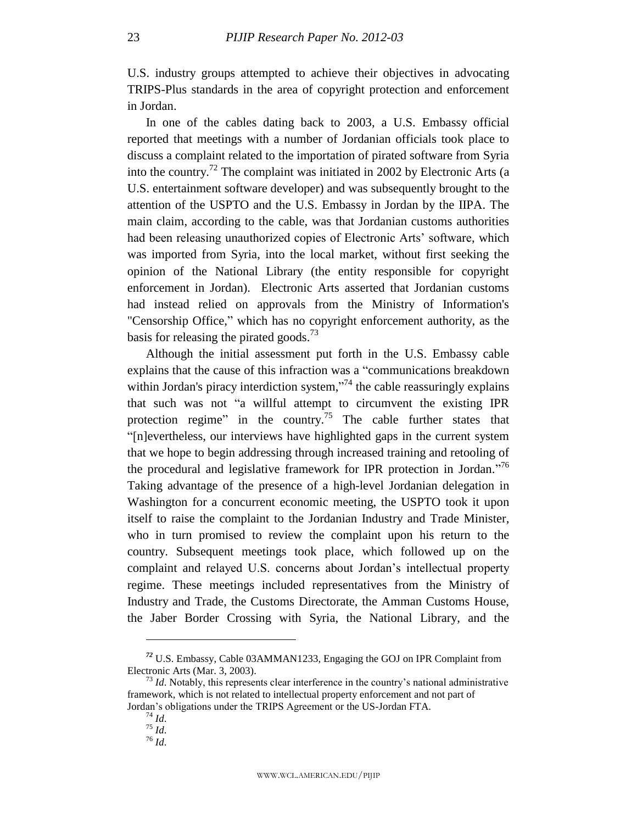U.S. industry groups attempted to achieve their objectives in advocating TRIPS-Plus standards in the area of copyright protection and enforcement in Jordan.

In one of the cables dating back to 2003, a U.S. Embassy official reported that meetings with a number of Jordanian officials took place to discuss a complaint related to the importation of pirated software from Syria into the country.<sup>72</sup> The complaint was initiated in 2002 by Electronic Arts (a U.S. entertainment software developer) and was subsequently brought to the attention of the USPTO and the U.S. Embassy in Jordan by the IIPA. The main claim, according to the cable, was that Jordanian customs authorities had been releasing unauthorized copies of Electronic Arts' software, which was imported from Syria, into the local market, without first seeking the opinion of the National Library (the entity responsible for copyright enforcement in Jordan). Electronic Arts asserted that Jordanian customs had instead relied on approvals from the Ministry of Information's "Censorship Office," which has no copyright enforcement authority, as the basis for releasing the pirated goods.<sup>73</sup>

Although the initial assessment put forth in the U.S. Embassy cable explains that the cause of this infraction was a "communications breakdown" within Jordan's piracy interdiction system,"<sup>74</sup> the cable reassuringly explains that such was not "a willful attempt to circumvent the existing IPR protection regime" in the country.<sup>75</sup> The cable further states that ―[n]evertheless, our interviews have highlighted gaps in the current system that we hope to begin addressing through increased training and retooling of the procedural and legislative framework for IPR protection in Jordan."<sup>76</sup> Taking advantage of the presence of a high-level Jordanian delegation in Washington for a concurrent economic meeting, the USPTO took it upon itself to raise the complaint to the Jordanian Industry and Trade Minister, who in turn promised to review the complaint upon his return to the country. Subsequent meetings took place, which followed up on the complaint and relayed U.S. concerns about Jordan's intellectual property regime. These meetings included representatives from the Ministry of Industry and Trade, the Customs Directorate, the Amman Customs House, the Jaber Border Crossing with Syria, the National Library, and the

*<sup>72</sup>* U.S. Embassy, Cable 03AMMAN1233, Engaging the GOJ on IPR Complaint from Electronic Arts (Mar. 3, 2003).

<sup>&</sup>lt;sup>73</sup> *Id*. Notably, this represents clear interference in the country's national administrative framework, which is not related to intellectual property enforcement and not part of Jordan's obligations under the TRIPS Agreement or the US-Jordan FTA.

<sup>74</sup> *Id*.  $75$   $\frac{1}{10}$ .

 $^{76}$  *Id.*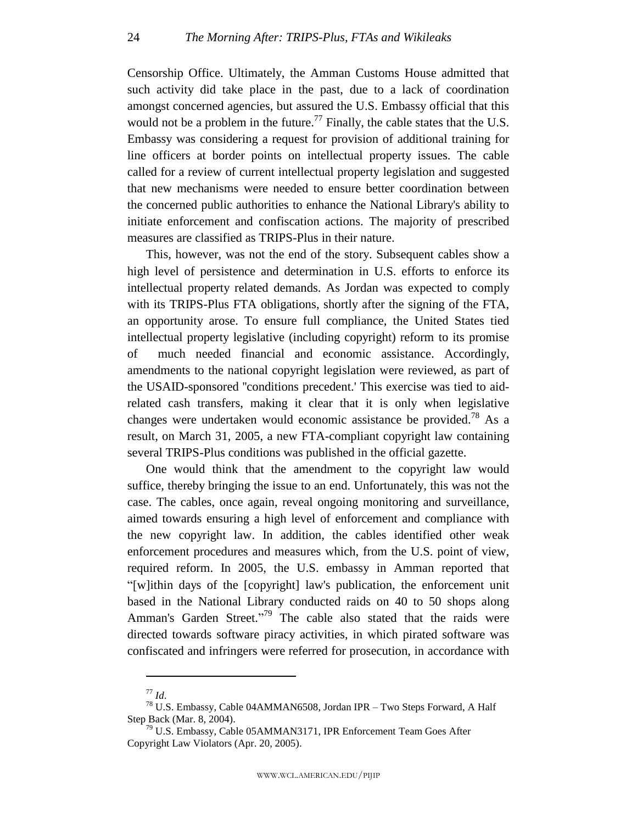Censorship Office. Ultimately, the Amman Customs House admitted that such activity did take place in the past, due to a lack of coordination amongst concerned agencies, but assured the U.S. Embassy official that this would not be a problem in the future.<sup>77</sup> Finally, the cable states that the U.S. Embassy was considering a request for provision of additional training for line officers at border points on intellectual property issues. The cable called for a review of current intellectual property legislation and suggested that new mechanisms were needed to ensure better coordination between the concerned public authorities to enhance the National Library's ability to initiate enforcement and confiscation actions. The majority of prescribed measures are classified as TRIPS-Plus in their nature.

This, however, was not the end of the story. Subsequent cables show a high level of persistence and determination in U.S. efforts to enforce its intellectual property related demands. As Jordan was expected to comply with its TRIPS-Plus FTA obligations, shortly after the signing of the FTA, an opportunity arose. To ensure full compliance, the United States tied intellectual property legislative (including copyright) reform to its promise of much needed financial and economic assistance. Accordingly, amendments to the national copyright legislation were reviewed, as part of the USAID-sponsored ''conditions precedent.' This exercise was tied to aidrelated cash transfers, making it clear that it is only when legislative changes were undertaken would economic assistance be provided.<sup>78</sup> As a result, on March 31, 2005, a new FTA-compliant copyright law containing several TRIPS-Plus conditions was published in the official gazette.

One would think that the amendment to the copyright law would suffice, thereby bringing the issue to an end. Unfortunately, this was not the case. The cables, once again, reveal ongoing monitoring and surveillance, aimed towards ensuring a high level of enforcement and compliance with the new copyright law. In addition, the cables identified other weak enforcement procedures and measures which, from the U.S. point of view, required reform. In 2005, the U.S. embassy in Amman reported that ―[w]ithin days of the [copyright] law's publication, the enforcement unit based in the National Library conducted raids on 40 to 50 shops along Amman's Garden Street."<sup>79</sup> The cable also stated that the raids were directed towards software piracy activities, in which pirated software was confiscated and infringers were referred for prosecution, in accordance with

<sup>77</sup> *Id*.

<sup>78</sup> U.S. Embassy, Cable 04AMMAN6508, Jordan IPR – Two Steps Forward, A Half Step Back (Mar. 8, 2004).

 $79$  U.S. Embassy, Cable 05AMMAN3171, IPR Enforcement Team Goes After Copyright Law Violators (Apr. 20, 2005).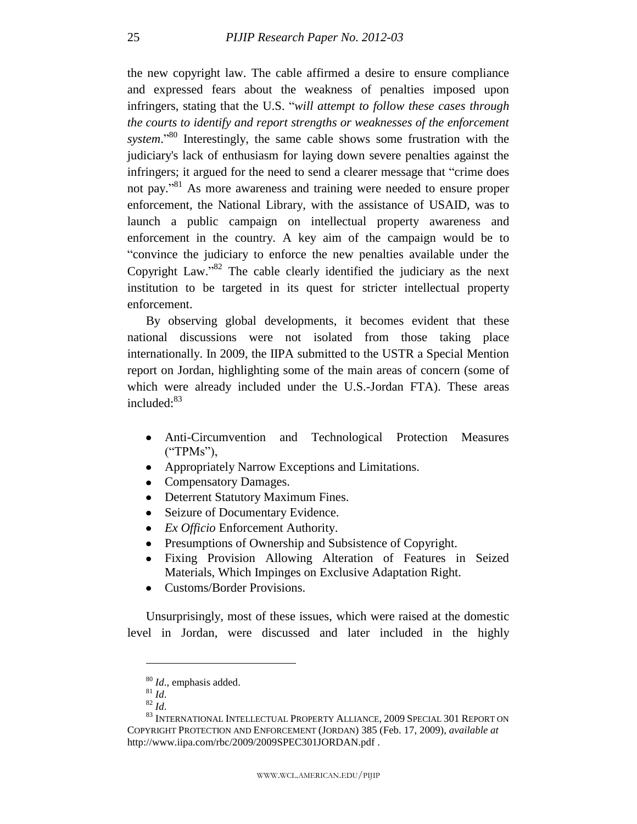the new copyright law. The cable affirmed a desire to ensure compliance and expressed fears about the weakness of penalties imposed upon infringers, stating that the U.S. "*will attempt to follow these cases through the courts to identify and report strengths or weaknesses of the enforcement*  system.<sup>80</sup> Interestingly, the same cable shows some frustration with the judiciary's lack of enthusiasm for laying down severe penalties against the infringers; it argued for the need to send a clearer message that "crime does" not pay."<sup>81</sup> As more awareness and training were needed to ensure proper enforcement, the National Library, with the assistance of USAID, was to launch a public campaign on intellectual property awareness and enforcement in the country. A key aim of the campaign would be to ―convince the judiciary to enforce the new penalties available under the Copyright Law." $82$  The cable clearly identified the judiciary as the next institution to be targeted in its quest for stricter intellectual property enforcement.

By observing global developments, it becomes evident that these national discussions were not isolated from those taking place internationally. In 2009, the IIPA submitted to the USTR a Special Mention report on Jordan, highlighting some of the main areas of concern (some of which were already included under the U.S.-Jordan FTA). These areas included:<sup>83</sup>

- Anti-Circumvention and Technological Protection Measures  $("TPMs"),$
- Appropriately Narrow Exceptions and Limitations.
- Compensatory Damages.
- Deterrent Statutory Maximum Fines.
- Seizure of Documentary Evidence.
- *Ex Officio* Enforcement Authority.
- Presumptions of Ownership and Subsistence of Copyright.
- Fixing Provision Allowing Alteration of Features in Seized Materials, Which Impinges on Exclusive Adaptation Right.
- Customs/Border Provisions.

Unsurprisingly, most of these issues, which were raised at the domestic level in Jordan, were discussed and later included in the highly

<sup>80</sup> *Id*., emphasis added.

 $^{81}\,$   $ld.$ 

<sup>82</sup> *Id*.

<sup>83</sup> INTERNATIONAL INTELLECTUAL PROPERTY ALLIANCE, 2009 SPECIAL 301 REPORT ON COPYRIGHT PROTECTION AND ENFORCEMENT (JORDAN) 385 (Feb. 17, 2009), *available at* http://www.iipa.com/rbc/2009/2009SPEC301JORDAN.pdf .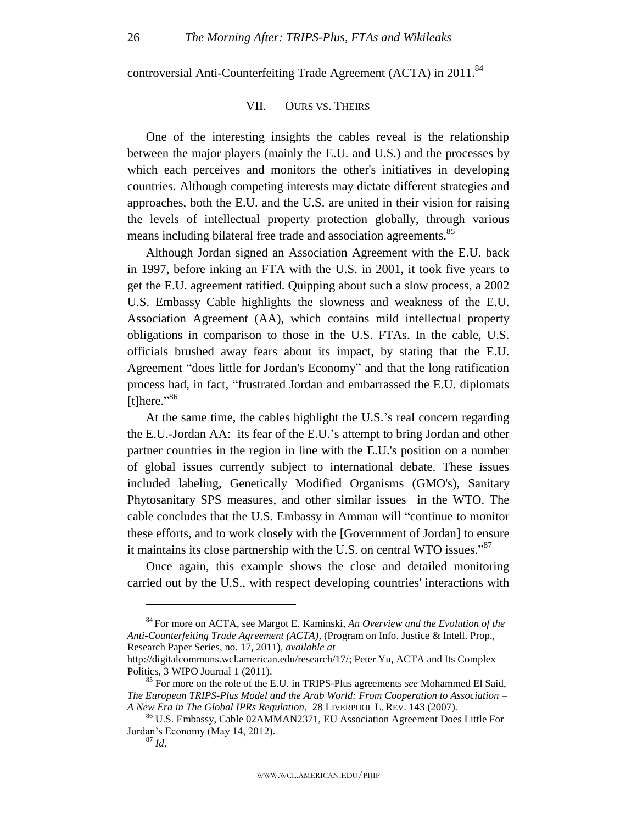<span id="page-26-0"></span>controversial Anti-Counterfeiting Trade Agreement (ACTA) in 2011.<sup>84</sup>

#### VII. OURS VS. THEIRS

One of the interesting insights the cables reveal is the relationship between the major players (mainly the E.U. and U.S.) and the processes by which each perceives and monitors the other's initiatives in developing countries. Although competing interests may dictate different strategies and approaches, both the E.U. and the U.S. are united in their vision for raising the levels of intellectual property protection globally, through various means including bilateral free trade and association agreements.<sup>85</sup>

Although Jordan signed an Association Agreement with the E.U. back in 1997, before inking an FTA with the U.S. in 2001, it took five years to get the E.U. agreement ratified. Quipping about such a slow process, a 2002 U.S. Embassy Cable highlights the slowness and weakness of the E.U. Association Agreement (AA), which contains mild intellectual property obligations in comparison to those in the U.S. FTAs. In the cable, U.S. officials brushed away fears about its impact, by stating that the E.U. Agreement "does little for Jordan's Economy" and that the long ratification process had, in fact, "frustrated Jordan and embarrassed the E.U. diplomats [t] here." $86$ 

At the same time, the cables highlight the U.S.'s real concern regarding the E.U.-Jordan AA: its fear of the E.U.'s attempt to bring Jordan and other partner countries in the region in line with the E.U.'s position on a number of global issues currently subject to international debate. These issues included labeling, Genetically Modified Organisms (GMO's), Sanitary Phytosanitary SPS measures, and other similar issues in the WTO. The cable concludes that the U.S. Embassy in Amman will "continue to monitor these efforts, and to work closely with the [Government of Jordan] to ensure it maintains its close partnership with the U.S. on central WTO issues." $87$ 

Once again, this example shows the close and detailed monitoring carried out by the U.S., with respect developing countries' interactions with

<sup>84</sup> For more on ACTA, see Margot E. Kaminski, *An Overview and the Evolution of the Anti-Counterfeiting Trade Agreement (ACTA)*, (Program on Info. Justice & Intell. Prop., Research Paper Series, no. 17, 2011), *available at*

http://digitalcommons.wcl.american.edu/research/17/; Peter Yu, ACTA and Its Complex Politics, 3 WIPO Journal 1 (2011).

<sup>85</sup> For more on the role of the E.U. in TRIPS-Plus agreements *see* Mohammed El Said, *The European TRIPS-Plus Model and the Arab World: From Cooperation to Association – A New Era in The Global IPRs Regulation,* 28 LIVERPOOL L. REV. 143 (2007).

<sup>86</sup> U.S. Embassy, Cable 02AMMAN2371, EU Association Agreement Does Little For Jordan's Economy (May 14, 2012).

 $^{87}$  *Id.*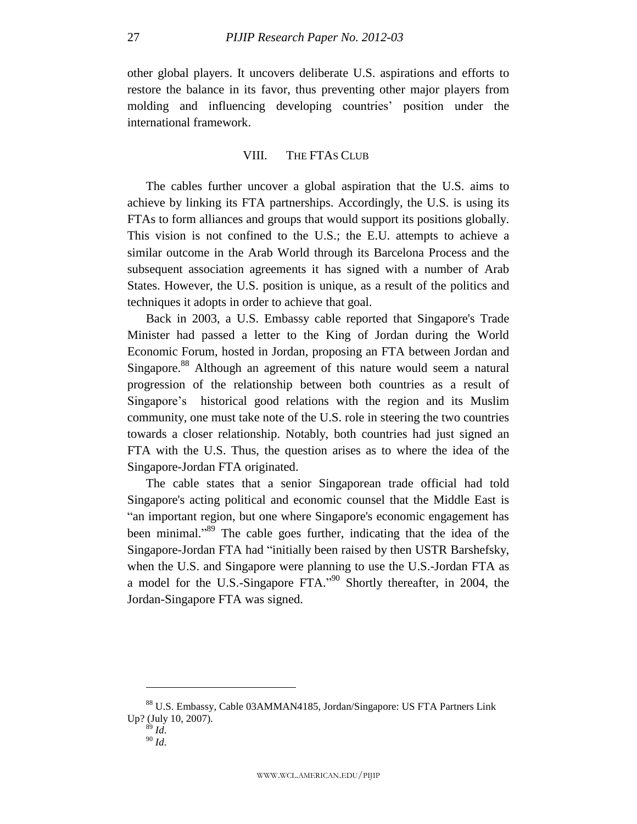other global players. It uncovers deliberate U.S. aspirations and efforts to restore the balance in its favor, thus preventing other major players from molding and influencing developing countries' position under the international framework.

#### VIII. THE FTAS CLUB

<span id="page-27-0"></span>The cables further uncover a global aspiration that the U.S. aims to achieve by linking its FTA partnerships. Accordingly, the U.S. is using its FTAs to form alliances and groups that would support its positions globally. This vision is not confined to the U.S.; the E.U. attempts to achieve a similar outcome in the Arab World through its Barcelona Process and the subsequent association agreements it has signed with a number of Arab States. However, the U.S. position is unique, as a result of the politics and techniques it adopts in order to achieve that goal.

Back in 2003, a U.S. Embassy cable reported that Singapore's Trade Minister had passed a letter to the King of Jordan during the World Economic Forum, hosted in Jordan, proposing an FTA between Jordan and Singapore.<sup>88</sup> Although an agreement of this nature would seem a natural progression of the relationship between both countries as a result of Singapore's historical good relations with the region and its Muslim community, one must take note of the U.S. role in steering the two countries towards a closer relationship. Notably, both countries had just signed an FTA with the U.S. Thus, the question arises as to where the idea of the Singapore-Jordan FTA originated.

The cable states that a senior Singaporean trade official had told Singapore's acting political and economic counsel that the Middle East is "an important region, but one where Singapore's economic engagement has been minimal."<sup>89</sup> The cable goes further, indicating that the idea of the Singapore-Jordan FTA had "initially been raised by then USTR Barshefsky, when the U.S. and Singapore were planning to use the U.S.-Jordan FTA as a model for the U.S.-Singapore FTA.<sup> $2004$ </sup> Shortly thereafter, in 2004, the Jordan-Singapore FTA was signed.

<sup>88</sup> U.S. Embassy, Cable 03AMMAN4185, Jordan/Singapore: US FTA Partners Link Up? (July 10, 2007).

 $89$  *Id.* <sup>90</sup> *Id*.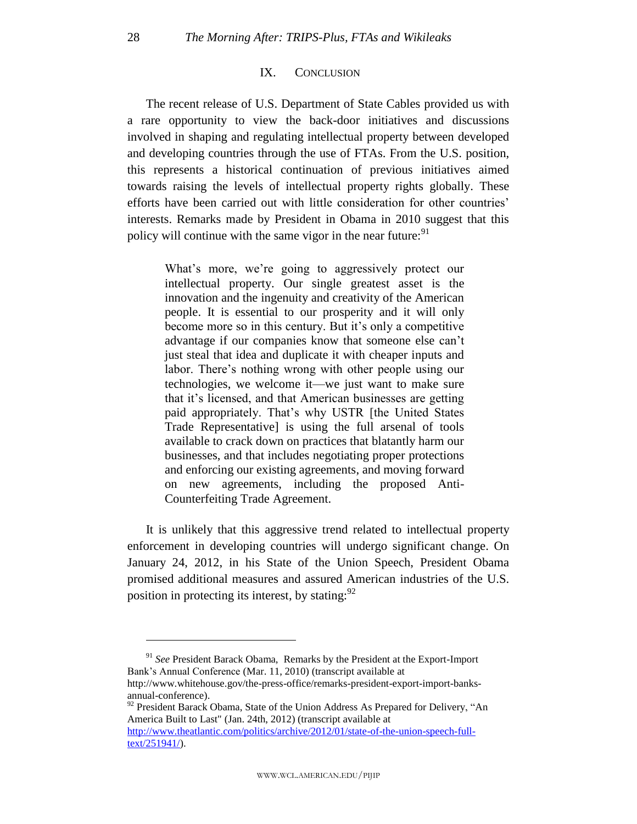#### IX. CONCLUSION

<span id="page-28-0"></span>The recent release of U.S. Department of State Cables provided us with a rare opportunity to view the back-door initiatives and discussions involved in shaping and regulating intellectual property between developed and developing countries through the use of FTAs. From the U.S. position, this represents a historical continuation of previous initiatives aimed towards raising the levels of intellectual property rights globally. These efforts have been carried out with little consideration for other countries' interests. Remarks made by President in Obama in 2010 suggest that this policy will continue with the same vigor in the near future:  $91$ 

What's more, we're going to aggressively protect our intellectual property. Our single greatest asset is the innovation and the ingenuity and creativity of the American people. It is essential to our prosperity and it will only become more so in this century. But it's only a competitive advantage if our companies know that someone else can't just steal that idea and duplicate it with cheaper inputs and labor. There's nothing wrong with other people using our technologies, we welcome it—we just want to make sure that it's licensed, and that American businesses are getting paid appropriately. That's why USTR [the United States Trade Representative] is using the full arsenal of tools available to crack down on practices that blatantly harm our businesses, and that includes negotiating proper protections and enforcing our existing agreements, and moving forward on new agreements, including the proposed Anti-Counterfeiting Trade Agreement.

It is unlikely that this aggressive trend related to intellectual property enforcement in developing countries will undergo significant change. On January 24, 2012, in his State of the Union Speech, President Obama promised additional measures and assured American industries of the U.S. position in protecting its interest, by stating:  $92$ 

<sup>91</sup> *See* President Barack Obama, Remarks by the President at the Export-Import Bank's Annual Conference (Mar. 11, 2010) (transcript available at http://www.whitehouse.gov/the-press-office/remarks-president-export-import-banksannual-conference).

 $92$  President Barack Obama, State of the Union Address As Prepared for Delivery, "An America Built to Last" (Jan. 24th, 2012) (transcript available at [http://www.theatlantic.com/politics/archive/2012/01/state-of-the-union-speech-full](http://www.theatlantic.com/politics/archive/2012/01/state-of-the-union-speech-full-text/251941/)[text/251941/\)](http://www.theatlantic.com/politics/archive/2012/01/state-of-the-union-speech-full-text/251941/).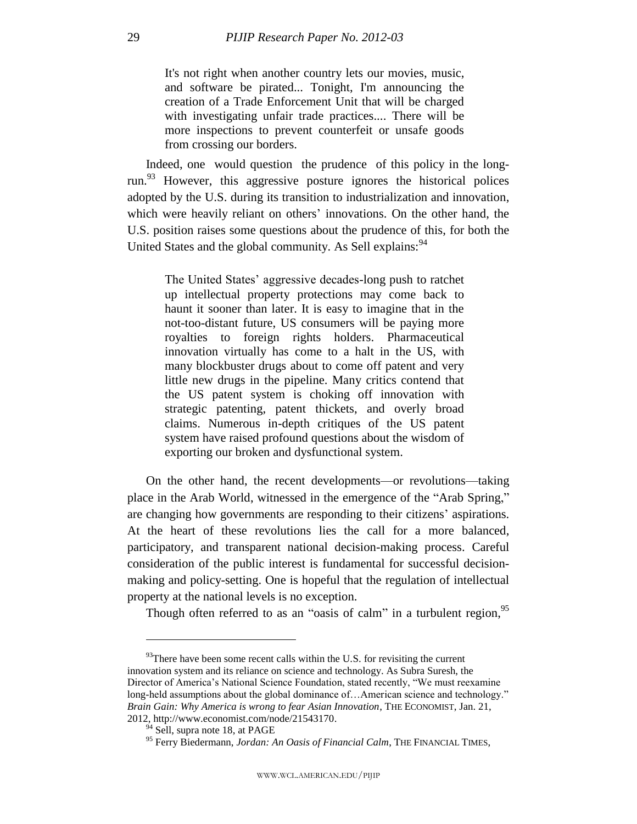It's not right when another country lets our movies, music, and software be pirated... Tonight, I'm announcing the creation of a Trade Enforcement Unit that will be charged with investigating unfair trade practices.... There will be more inspections to prevent counterfeit or unsafe goods from crossing our borders.

Indeed, one would question the prudence of this policy in the longrun.<sup>93</sup> However, this aggressive posture ignores the historical polices adopted by the U.S. during its transition to industrialization and innovation, which were heavily reliant on others' innovations. On the other hand, the U.S. position raises some questions about the prudence of this, for both the United States and the global community. As Sell explains:<sup>94</sup>

The United States' aggressive decades-long push to ratchet up intellectual property protections may come back to haunt it sooner than later. It is easy to imagine that in the not-too-distant future, US consumers will be paying more royalties to foreign rights holders. Pharmaceutical innovation virtually has come to a halt in the US, with many blockbuster drugs about to come off patent and very little new drugs in the pipeline. Many critics contend that the US patent system is choking off innovation with strategic patenting, patent thickets, and overly broad claims. Numerous in-depth critiques of the US patent system have raised profound questions about the wisdom of exporting our broken and dysfunctional system.

On the other hand, the recent developments—or revolutions—taking place in the Arab World, witnessed in the emergence of the "Arab Spring," are changing how governments are responding to their citizens' aspirations. At the heart of these revolutions lies the call for a more balanced, participatory, and transparent national decision-making process. Careful consideration of the public interest is fundamental for successful decisionmaking and policy-setting. One is hopeful that the regulation of intellectual property at the national levels is no exception.

Though often referred to as an "oasis of calm" in a turbulent region,  $95$ 

 $93$ There have been some recent calls within the U.S. for revisiting the current innovation system and its reliance on science and technology. As Subra Suresh, the Director of America's National Science Foundation, stated recently, "We must reexamine long-held assumptions about the global dominance of... American science and technology." *Brain Gain: Why America is wrong to fear Asian Innovation*, THE ECONOMIST, Jan. 21, 2012, http://www.economist.com/node/21543170.

 $94$  Sell, supra note 18, at PAGE

<sup>&</sup>lt;sup>95</sup> Ferry Biedermann, *Jordan: An Oasis of Financial Calm*, THE FINANCIAL TIMES,